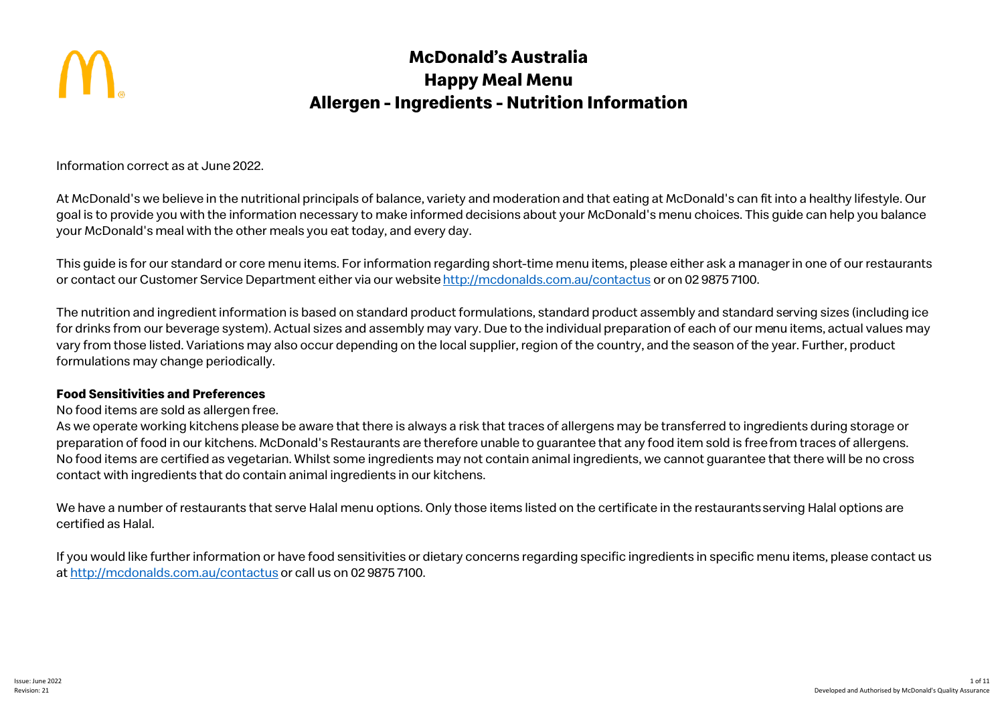

# **McDonald's Australia Happy Meal Menu Allergen - Ingredients - Nutrition Information**

Information correct as at June 2022.

At McDonald's we believe in the nutritional principals of balance, variety and moderation and that eating at McDonald's can fit into a healthy lifestyle. Our goal is to provide you with the information necessary to make informed decisions about your McDonald's menu choices. This guide can help you balance your McDonald's meal with the other meals you eat today, and every day.

This guide is for our standard or core menu items. For information regarding short-time menu items, please either ask a manager in one of our restaurants or contact our Customer Service Department either via our website http://mcdonalds.com.au/contactus or on 02 9875 7100.

The nutrition and ingredient information is based on standard product formulations, standard product assembly and standard serving sizes (including ice for drinks from our beverage system). Actual sizes and assembly may vary. Due to the individual preparation of each of our menu items, actual values may vary from those listed. Variations may also occur depending on the local supplier, region of the country, and the season of the year. Further, product formulations may change periodically.

# **Food Sensitivities and Preferences**

No food items are sold as allergen free.

As we operate working kitchens please be aware that there is always a risk that traces of allergens may be transferred to ingredients during storage or preparation of food in our kitchens. McDonald's Restaurants are therefore unable to guarantee that any food item sold is freefrom traces of allergens. No food items are certified as vegetarian. Whilst some ingredients may not contain animal ingredients, we cannot guarantee that there will be no cross contact with ingredients that do contain animal ingredients in our kitchens.

We have a number of restaurants that serve Halal menu options. Only those items listed on the certificate in the restaurants serving Halal options are certified as Halal.

If you would like further information or have food sensitivities or dietary concerns regarding specific ingredients in specific menu items, please contact us at http://mcdonalds.com.au/contactus or call us on 02 9875 7100.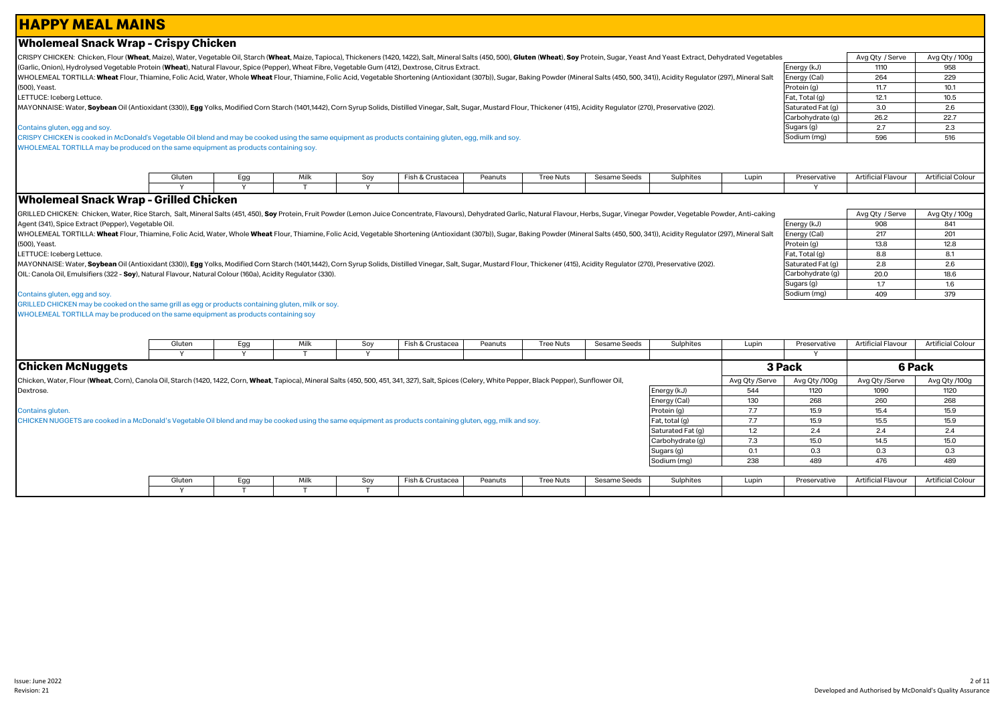# **HAPPY MEAL MAINS**

2 of 11

CRISPY CHICKEN: Chicken, Flour (Wheat, Maize), Water, Vegetable Oil, Starch (Wheat, Maize, Tapioca), Thickeners (1420, 1422), Salt, Mineral Salts (450, 500), Gluten (Wheat). Soy Protein, Sugar, Yeast And Yeast Extract, Deh (Garlic, Onion), Hydrolysed Vegetable Protein (**Wheat**), Natural Flavour, Spice (Pepper), Wheat Fibre, Vegetable Gum (412), Dextrose, Citrus Extract.

WHOLEMEAL TORTILLA: Wheat Flour. Thiamine. Folic Acid. Water. Whole Wheat Flour. Thiamine. Folic Acid. Vegetable Shortening (Antioxidant (307b)). Sugar. Baking Powder (Mineral Salts (450, 500, 341)). Acidity Regulator (297 (500), Yeast.

LETTUCE: Iceberg Lettuce.

MAYONNAISE: Water, Soybean Oil (Antioxidant (330)), Egg Yolks, Modified Corn Starch (1401,1442), Corn Syrup Solids, Distilled Vinegar, Salt, Sugar, Mustard Flour, Thickener (415), Acidity Regulator (270), Preservative (202

#### Contains gluten, egg and soy.

CRISPY CHICKEN is cooked in McDonald's Vegetable Oil blend and may be cooked using the same equipment as products containing gluten, egg, milk and soy.

WHOLEMEAL TORTILLA may be produced on the same equipment as products containing soy.

| Gluten | Egg | Mill<br>,,,,, | $S_{01}$ | Fish & Crustacea | Peanuts | Tree Nuts | Sesame Seeds | Sulphites | Lupir | Preservative | Artificial Flavour | Artificial Colour |
|--------|-----|---------------|----------|------------------|---------|-----------|--------------|-----------|-------|--------------|--------------------|-------------------|
|        |     |               |          |                  |         |           |              |           |       |              |                    |                   |

# **Wholemeal Snack Wrap - Grilled Chicken**

**Wholemeal Snack Wrap - Crispy Chicken**

GRILLED CHICKEN: Chicken, Water, Rice Starch, Salt, Mineral Salts (451, 450), Soy Protein, Fruit Powder (Lemon Juice Concentrate, Flavours), Dehydrated Garlic, Natural Flavour, Herbs, Sugar, Vinegar Powder, Vegetable Powde Agent (341), Spice Extract (Pepper), Vegetable Oil.

WHOLEMEAL TORTILLA: Wheat Flour, Thiamine, Folic Acid, Water, Whole Wheat Flour, Thiamine, Folic Acid, Vegetable Shortening (Antioxidant (307b)), Sugar, Baking Powder (Mineral Salts (450, 500, 341)), Acidity Regulator (297 (500), Yeast.

LETTUCE: Iceberg Lettuce.

MAYONNAISE: Water, Soybean Oil (Antioxidant (330)), Egg Yolks, Modified Corn Starch (1401,1442), Corn Syrup Solids, Distilled Vinegar, Salt, Sugar, Mustard Flour, Thickener (415), Acidity Regulator (270), Preservative (202 OIL: Canola Oil, Emulsifiers (322 - **Soy**), Natural Flavour, Natural Colour (160a), Acidity Regulator (330).

#### Contains gluten, egg and soy.

GRILLED CHICKEN may be cooked on the same grill as egg or products containing gluten, milk or soy. WHOLEMEAL TORTILLA may be produced on the same equipment as products containing soy

|                                                                                                                                                                                                        | Gluten | Egg | Milk | Soy | Fish & Crustacea | Peanuts | Tree Nuts        | Sesame Seeds | Sulphites         | Lupin          | Preservative  | <b>Artificial Flavour</b> | <b>Artificial Colour</b> |
|--------------------------------------------------------------------------------------------------------------------------------------------------------------------------------------------------------|--------|-----|------|-----|------------------|---------|------------------|--------------|-------------------|----------------|---------------|---------------------------|--------------------------|
|                                                                                                                                                                                                        |        |     |      |     |                  |         |                  |              |                   |                |               |                           |                          |
| <b>Chicken McNuggets</b>                                                                                                                                                                               |        |     |      |     |                  |         |                  |              |                   |                | 3 Pack        | 6 Pack                    |                          |
| Chicken, Water, Flour (Wheat, Corn), Canola Oil, Starch (1420, 1422, Corn, Wheat, Tapioca), Mineral Salts (450, 500, 451, 341, 327), Salt, Spices (Celery, White Pepper, Black Pepper), Sunflower Oil, |        |     |      |     |                  |         |                  |              |                   | Avg Qty /Serve | Avg Qty /100g | Avg Qty /Serve            | Avg Qty /100g            |
| Dextrose.                                                                                                                                                                                              |        |     |      |     |                  |         |                  |              | Energy (kJ)       | 544            | 1120          | 1090                      | 1120                     |
|                                                                                                                                                                                                        |        |     |      |     |                  |         |                  |              | Energy (Cal)      | 130            | 268           | 260                       | 268                      |
| Contains gluten.                                                                                                                                                                                       |        |     |      |     |                  |         |                  |              | Protein (g)       | 7.7            | 15.9          | 15.4                      | 15.9                     |
| CHICKEN NUGGETS are cooked in a McDonald's Vegetable Oil blend and may be cooked using the same equipment as products containing gluten, egg, milk and soy.                                            |        |     |      |     |                  |         |                  |              | Fat, total (g)    | 7.7            | 15.9          | 15.5                      | 15.9                     |
|                                                                                                                                                                                                        |        |     |      |     |                  |         |                  |              | Saturated Fat (g) | 1.2            | 2.4           | 2.4                       | 2.4                      |
|                                                                                                                                                                                                        |        |     |      |     |                  |         |                  |              | Carbohydrate (g)  | 7.3            | 15.0          | 14.5                      | 15.0                     |
|                                                                                                                                                                                                        |        |     |      |     |                  |         |                  |              | Sugars (g)        | 0.1            | 0.3           | 0.3                       | 0.3                      |
|                                                                                                                                                                                                        |        |     |      |     |                  |         |                  |              | Sodium (mg)       | 238            | 489           | 476                       | 489                      |
|                                                                                                                                                                                                        |        |     |      |     |                  |         |                  |              |                   |                |               |                           |                          |
|                                                                                                                                                                                                        | Gluten | Egg | Milk | Soy | Fish & Crustacea | Peanuts | <b>Tree Nuts</b> | Sesame Seeds | Sulphites         | Lupin          | Preservative  | <b>Artificial Flavour</b> | Artificial Colour        |
|                                                                                                                                                                                                        |        |     |      |     |                  |         |                  |              |                   |                |               |                           |                          |

| Ś                 | Avg Qty / Serve | Avg Qty / 100g |
|-------------------|-----------------|----------------|
| Energy (kJ)       | 1110            | 958            |
| Energy (Cal)      | 264             | 229            |
| Protein (g)       | 11.7            | 10.1           |
| Fat, Total (g)    | 12.1            | 10.5           |
| Saturated Fat (g) | 3.0             | 2.6            |
| Carbohydrate (g)  | 26.2            | 22.7           |
| Sugars (g)        | 2.7             | 2.3            |
| Sodium (mg)       | 596             | 516            |

|                   | Avg Qty / Serve | Avg Qty / 100g |
|-------------------|-----------------|----------------|
| Energy (kJ)       | 908             | 841            |
| Energy (Cal)      | 217             | 201            |
| Protein (g)       | 13.8            | 12.8           |
| Fat, Total (g)    | 8.8             | 8.1            |
| Saturated Fat (g) | 2.8             | 2.6            |
| Carbohydrate (g)  | 20.0            | 18.6           |
| Sugars (g)        | 1.7             | 1.6            |
| Sodium (ma)       | 409             | 379            |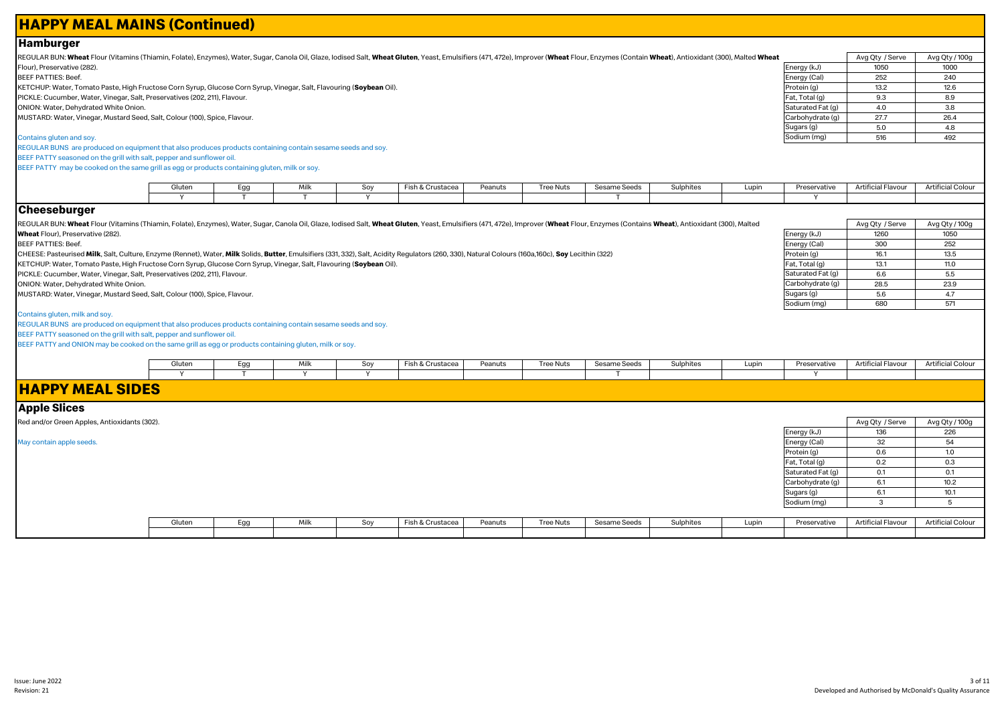# **HAPPY MEAL MAINS (Continued)**

# **Hamburger**

REGULAR BUN: Wheat Flour (Vitamins (Thiamin, Folate), Enzymes), Water, Sugar, Canola Oil, Glaze, Iodised Salt, Wheat Gluten, Yeast, Emulsifiers (471, 472e), Improver (Wheat Flour, Enzymes (Contain Wheat), Antioxidant (300) Flour), Preservative (282). BEEF PATTIES: Beef.

KETCHUP: Water, Tomato Paste, High Fructose Corn Syrup, Glucose Corn Syrup, Vinegar, Salt, Flavouring (**Soybean** Oil). PICKLE: Cucumber, Water, Vinegar, Salt, Preservatives (202, 211), Flavour.

ONION: Water, Dehydrated White Onion.

MUSTARD: Water, Vinegar, Mustard Seed, Salt, Colour (100), Spice, Flavour.

#### Contains gluten and soy.

REGULAR BUNS are produced on equipment that also produces products containing contain sesame seeds and soy. BEEF PATTY seasoned on the grill with salt, pepper and sunflower oil. BEEF PATTY may be cooked on the same grill as egg or products containing gluten, milk or soy.

| Gluter. | -ac | Milk | ິ | Fish & Crustacea | 'eanuts | ree Nuts | THE SHELLS | <b>Sulphites</b> | Lupin | Preservative | Artificial Flavour | . rificial f<br>colour |
|---------|-----|------|---|------------------|---------|----------|------------|------------------|-------|--------------|--------------------|------------------------|
|         |     |      |   |                  |         |          |            |                  |       |              |                    |                        |

#### **Cheeseburger**

REGULAR BUN: Wheat Flour (Vitamins (Thiamin, Folate), Enzymes), Water, Sugar, Canola Oil, Glaze, lodised Salt, Wheat Gluten, Yeast, Emulsifiers (471, 472e), Improver (Wheat Flour, Enzymes (Contains Wheat), Antioxidant (300 **Wheat** Flour), Preservative (282).

BEEF PATTIES: Beef.

CHEESE: Pasteurised **Milk**, Salt, Culture, Enzyme (Rennet), Water, **Milk** Solids, **Butter**, Emulsifiers (331, 332), Salt, Acidity Regulators (260, 330), Natural Colours (160a,160c), **Soy** Lecithin (322)

KETCHUP: Water, Tomato Paste, High Fructose Corn Syrup, Glucose Corn Syrup, Vinegar, Salt, Flavouring (**Soybean** Oil).

PICKLE: Cucumber, Water, Vinegar, Salt, Preservatives (202, 211), Flavour.

ONION: Water, Dehydrated White Onion.

MUSTARD: Water, Vinegar, Mustard Seed, Salt, Colour (100), Spice, Flavour.

#### Contains gluten, milk and soy.

REGULAR BUNS are produced on equipment that also produces products containing contain sesame seeds and soy.

BEEF PATTY seasoned on the grill with salt, pepper and sunflower oil.

BEEF PATTY and ONION may be cooked on the same grill as egg or products containing gluten, milk or soy.

| Gluten | <b>AAill</b><br>,,,,, | $S_{01}$<br>ັບ | Fish & Crustacea | Peanuts | <b>Tree Nuts</b> | Sesame Seeds | Sulphites | Lupin | Preservative | Artificial Flavour | Artificial Colour |
|--------|-----------------------|----------------|------------------|---------|------------------|--------------|-----------|-------|--------------|--------------------|-------------------|
|        |                       |                |                  |         |                  |              |           |       |              |                    |                   |

# **HAPPY MEAL SIDES**

**Apple Slices**

| IUNNIA AIIAAA                                |        |     |      |     |                  |         |           |              |           |       |                   |                    |                   |
|----------------------------------------------|--------|-----|------|-----|------------------|---------|-----------|--------------|-----------|-------|-------------------|--------------------|-------------------|
| Red and/or Green Apples, Antioxidants (302). |        |     |      |     |                  |         |           |              |           |       |                   | Avg Qty / Serve    | Avg Qty / 100g    |
|                                              |        |     |      |     |                  |         |           |              |           |       | Energy (kJ)       | 136                | 226               |
| May contain apple seeds.                     |        |     |      |     |                  |         |           |              |           |       | Energy (Cal)      | 32                 | 54                |
|                                              |        |     |      |     |                  |         |           |              |           |       | Protein (g)       | 0.6                | 1.0               |
|                                              |        |     |      |     |                  |         |           |              |           |       | Fat, Total (g)    | 0.2                | 0.3               |
|                                              |        |     |      |     |                  |         |           |              |           |       | Saturated Fat (g) | 0.1                | 0.1               |
|                                              |        |     |      |     |                  |         |           |              |           |       | Carbohydrate (g)  | 6.1                | 10.2              |
|                                              |        |     |      |     |                  |         |           |              |           |       | Sugars (g)        | 6.1                | 10.1              |
|                                              |        |     |      |     |                  |         |           |              |           |       | Sodium (mg)       |                    |                   |
|                                              |        |     |      |     |                  |         |           |              |           |       |                   |                    |                   |
|                                              | Gluten | Egg | Milk | Soy | Fish & Crustacea | Peanuts | Tree Nuts | Sesame Seeds | Sulphites | Lupin | Preservative      | Artificial Flavour | Artificial Colour |
|                                              |        |     |      |     |                  |         |           |              |           |       |                   |                    |                   |

|                   | Avg Qty / Serve | Avg Qty / 100g |
|-------------------|-----------------|----------------|
| Energy (kJ)       | 1050            | 1000           |
| Energy (Cal)      | 252             | 240            |
| Protein (g)       | 13.2            | 12.6           |
| Fat, Total (g)    | 9.3             | 8.9            |
| Saturated Fat (g) | 4.0             | 3.8            |
| Carbohydrate (g)  | 27.7            | 26.4           |
| Sugars (g)        | 5.0             | 4.8            |
| Sodium (mg)       | 516             | 492            |

Energy (kJ) 1260 1050<br>
Energy (Cal) 300 252 Energy (Cal) 300 252<br>Protein (g) 36.1 35.5 Protein (g) 16.1 13.5<br>
Fat, Total (g) 13.1 11.0

Saturated Fat (g) 6.6 5.5<br>Carbohydrate (g) 28.5 23.9 Carbohydrate (g) 28.5 23.9<br>Sugars (g) 28.5 23.9 Sugars (g) 5.6 4.7<br>Sodium (mg) 680 571

Fat, Total (g)

Sodium (mg)

Avg Qty / Serve Avg Qty / 100g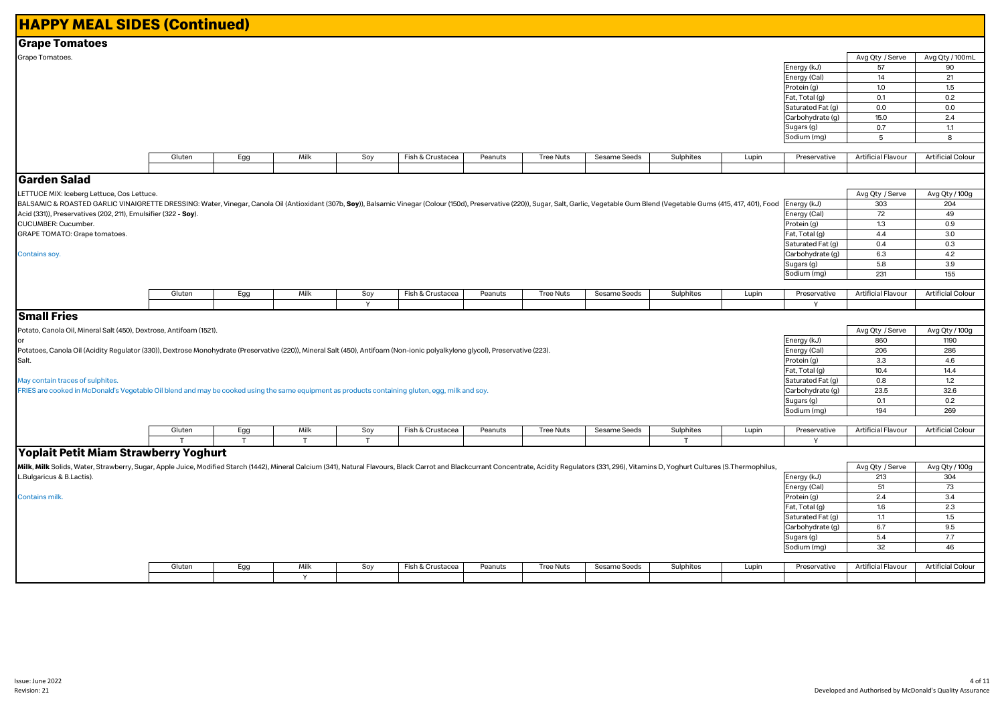| <b>HAPPY MEAL SIDES (Continued)</b>                                                                                                                                                                                            |        |     |              |     |                  |         |                  |              |           |       |                   |                           |                          |
|--------------------------------------------------------------------------------------------------------------------------------------------------------------------------------------------------------------------------------|--------|-----|--------------|-----|------------------|---------|------------------|--------------|-----------|-------|-------------------|---------------------------|--------------------------|
| <b>Grape Tomatoes</b>                                                                                                                                                                                                          |        |     |              |     |                  |         |                  |              |           |       |                   |                           |                          |
| Grape Tomatoes.                                                                                                                                                                                                                |        |     |              |     |                  |         |                  |              |           |       |                   | Avg Qty / Serve           | Avg Qty / 100mL          |
|                                                                                                                                                                                                                                |        |     |              |     |                  |         |                  |              |           |       | Energy (kJ)       | 57                        | 90                       |
|                                                                                                                                                                                                                                |        |     |              |     |                  |         |                  |              |           |       | Energy (Cal)      | 14                        | 21                       |
|                                                                                                                                                                                                                                |        |     |              |     |                  |         |                  |              |           |       | Protein (g)       | 1.0                       | 1.5                      |
|                                                                                                                                                                                                                                |        |     |              |     |                  |         |                  |              |           |       | Fat, Total (g)    | 0.1                       | 0.2                      |
|                                                                                                                                                                                                                                |        |     |              |     |                  |         |                  |              |           |       | Saturated Fat (g) | 0.0                       | 0.0                      |
|                                                                                                                                                                                                                                |        |     |              |     |                  |         |                  |              |           |       | Carbohydrate (g)  | 15.0                      | 2.4                      |
|                                                                                                                                                                                                                                |        |     |              |     |                  |         |                  |              |           |       | Sugars (g)        | 0.7                       | 1.1                      |
|                                                                                                                                                                                                                                |        |     |              |     |                  |         |                  |              |           |       | Sodium (mg)       | $5\phantom{.0}$           | 8                        |
|                                                                                                                                                                                                                                |        |     |              |     |                  |         |                  |              |           |       |                   |                           |                          |
|                                                                                                                                                                                                                                | Gluten | Egg | Milk         | Soy | Fish & Crustacea | Peanuts | <b>Tree Nuts</b> | Sesame Seeds | Sulphites | Lupin | Preservative      | <b>Artificial Flavour</b> | <b>Artificial Colour</b> |
|                                                                                                                                                                                                                                |        |     |              |     |                  |         |                  |              |           |       |                   |                           |                          |
| Garden Salad                                                                                                                                                                                                                   |        |     |              |     |                  |         |                  |              |           |       |                   |                           |                          |
| LETTUCE MIX: Iceberg Lettuce, Cos Lettuce.                                                                                                                                                                                     |        |     |              |     |                  |         |                  |              |           |       |                   | Avg Qty / Serve           | Avg Qty / 100g           |
| BALSAMIC & ROASTED GARLIC VINAIGRETTE DRESSING: Water, Vinegar, Canola Oil (Antioxidant (307b, Soy)), Balsamic Vinegar (Colour (150d), Preservative (220)), Sugar, Salt, Garlic, Vegetable Gum Blend (Vegetable Gums (415, 417 |        |     |              |     |                  |         |                  |              |           |       |                   | 303                       | 204                      |
| Acid (331)), Preservatives (202, 211), Emulsifier (322 - Soy).                                                                                                                                                                 |        |     |              |     |                  |         |                  |              |           |       | Energy (Cal)      | 72                        | 49                       |
| CUCUMBER: Cucumber.                                                                                                                                                                                                            |        |     |              |     |                  |         |                  |              |           |       | Protein (g)       | 1.3                       | 0.9                      |
| GRAPE TOMATO: Grape tomatoes.                                                                                                                                                                                                  |        |     |              |     |                  |         |                  |              |           |       | Fat, Total (g)    | 4.4                       | 3.0                      |
|                                                                                                                                                                                                                                |        |     |              |     |                  |         |                  |              |           |       | Saturated Fat (g) | 0.4                       | 0.3                      |
| Contains soy.                                                                                                                                                                                                                  |        |     |              |     |                  |         |                  |              |           |       | Carbohydrate (g)  | 6.3                       | 4.2                      |
|                                                                                                                                                                                                                                |        |     |              |     |                  |         |                  |              |           |       | Sugars (g)        | 5.8                       | 3.9                      |
|                                                                                                                                                                                                                                |        |     |              |     |                  |         |                  |              |           |       | Sodium (mg)       | 231                       | 155                      |
|                                                                                                                                                                                                                                |        |     |              |     |                  |         |                  |              |           |       |                   |                           |                          |
|                                                                                                                                                                                                                                | Gluten | Egg | Milk         | Soy | Fish & Crustacea | Peanuts | <b>Tree Nuts</b> | Sesame Seeds | Sulphites | Lupin | Preservative      | Artificial Flavour        | <b>Artificial Colour</b> |
|                                                                                                                                                                                                                                |        |     |              | Y   |                  |         |                  |              |           |       |                   |                           |                          |
| <b>Small Fries</b>                                                                                                                                                                                                             |        |     |              |     |                  |         |                  |              |           |       |                   |                           |                          |
| Potato, Canola Oil, Mineral Salt (450), Dextrose, Antifoam (1521).                                                                                                                                                             |        |     |              |     |                  |         |                  |              |           |       |                   | Avg Qty / Serve           | Avg Qty / 100g           |
| lor                                                                                                                                                                                                                            |        |     |              |     |                  |         |                  |              |           |       | Energy (kJ)       | 860                       | 1190                     |
| Potatoes, Canola Oil (Acidity Regulator (330)), Dextrose Monohydrate (Preservative (220)), Mineral Salt (450), Antifoam (Non-ionic polyalkylene glycol), Preservative (223).                                                   |        |     |              |     |                  |         |                  |              |           |       | Energy (Cal)      | 206                       | 286                      |
| Salt.                                                                                                                                                                                                                          |        |     |              |     |                  |         |                  |              |           |       | Protein (g)       | 3.3                       | 4.6                      |
|                                                                                                                                                                                                                                |        |     |              |     |                  |         |                  |              |           |       | Fat, Total (g)    | 10.4                      | 14.4                     |
| May contain traces of sulphites.                                                                                                                                                                                               |        |     |              |     |                  |         |                  |              |           |       | Saturated Fat (g) | 0.8                       | 1.2                      |
| FRIES are cooked in McDonald's Vegetable Oil blend and may be cooked using the same equipment as products containing gluten, egg, milk and soy.                                                                                |        |     |              |     |                  |         |                  |              |           |       | Carbohydrate (g)  | 23.5                      | 32.6                     |
|                                                                                                                                                                                                                                |        |     |              |     |                  |         |                  |              |           |       | Sugars (g)        | 0.1                       | 0.2                      |
|                                                                                                                                                                                                                                |        |     |              |     |                  |         |                  |              |           |       | Sodium (mg)       | 194                       | 269                      |
|                                                                                                                                                                                                                                |        |     |              |     |                  |         |                  |              |           |       |                   |                           |                          |
|                                                                                                                                                                                                                                | Gluten | Egg | Milk         | Soy | Fish & Crustacea | Peanuts | <b>Tree Nuts</b> | Sesame Seeds | Sulphites | Lupin | Preservative      | <b>Artificial Flavour</b> | <b>Artificial Colour</b> |
|                                                                                                                                                                                                                                | т      | T   | $\mathsf{T}$ | T   |                  |         |                  |              | т         |       | $\mathsf{Y}$      |                           |                          |
| Yoplait Petit Miam Strawberry Yoghurt                                                                                                                                                                                          |        |     |              |     |                  |         |                  |              |           |       |                   |                           |                          |
| Milk, Milk Solids, Water, Strawberry, Sugar, Apple Juice, Modified Starch (1442), Mineral Calcium (341), Natural Flavours, Black Carrot and Blackcurrant Concentrate, Acidity Regulators (331, 296), Vitamins D, Yoghurt Cultu |        |     |              |     |                  |         |                  |              |           |       |                   | Avg Qty / Serve           | Avg Qty / 100g           |
| L.Bulgaricus & B.Lactis).                                                                                                                                                                                                      |        |     |              |     |                  |         |                  |              |           |       | Energy (kJ)       | 213                       | 304                      |
|                                                                                                                                                                                                                                |        |     |              |     |                  |         |                  |              |           |       | Energy (Cal)      | 51                        | 73                       |
| Contains milk.                                                                                                                                                                                                                 |        |     |              |     |                  |         |                  |              |           |       | Protein (g)       | 2.4                       | 3.4                      |
|                                                                                                                                                                                                                                |        |     |              |     |                  |         |                  |              |           |       | Fat, Total (g)    | 1.6                       | 2.3                      |
|                                                                                                                                                                                                                                |        |     |              |     |                  |         |                  |              |           |       | Saturated Fat (g) | 1.1                       | 1.5                      |
|                                                                                                                                                                                                                                |        |     |              |     |                  |         |                  |              |           |       | Carbohydrate (g)  | 6.7                       | 9.5                      |
|                                                                                                                                                                                                                                |        |     |              |     |                  |         |                  |              |           |       | Sugars (g)        | 5.4                       | 7.7                      |
|                                                                                                                                                                                                                                |        |     |              |     |                  |         |                  |              |           |       | Sodium (mg)       | 32                        | 46                       |
|                                                                                                                                                                                                                                |        |     |              |     |                  |         |                  |              |           |       |                   |                           |                          |
|                                                                                                                                                                                                                                | Gluten | Egg | Milk         | Soy | Fish & Crustacea | Peanuts | <b>Tree Nuts</b> | Sesame Seeds | Sulphites | Lupin | Preservative      | <b>Artificial Flavour</b> | <b>Artificial Colour</b> |
|                                                                                                                                                                                                                                |        |     | $\checkmark$ |     |                  |         |                  |              |           |       |                   |                           |                          |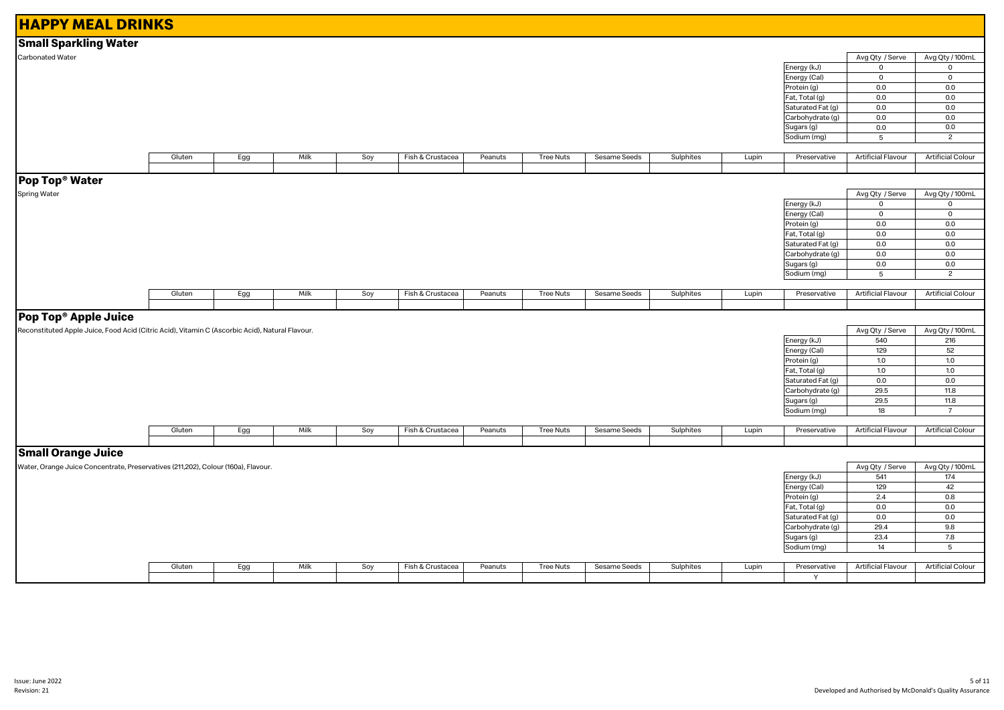| <b>HAPPY MEAL DRINKS</b>                                                                        |        |     |      |     |                  |         |                  |              |           |       |                   |                           |                          |
|-------------------------------------------------------------------------------------------------|--------|-----|------|-----|------------------|---------|------------------|--------------|-----------|-------|-------------------|---------------------------|--------------------------|
| <b>Small Sparkling Water</b>                                                                    |        |     |      |     |                  |         |                  |              |           |       |                   |                           |                          |
| Carbonated Water                                                                                |        |     |      |     |                  |         |                  |              |           |       |                   | Avg Qty / Serve           | Avg Qty / 100mL          |
|                                                                                                 |        |     |      |     |                  |         |                  |              |           |       | Energy (kJ)       | $\mathbf 0$               | 0                        |
|                                                                                                 |        |     |      |     |                  |         |                  |              |           |       | Energy (Cal)      | $\mathbf 0$               | $\mathbf 0$              |
|                                                                                                 |        |     |      |     |                  |         |                  |              |           |       | Protein (g)       | 0.0                       | 0.0                      |
|                                                                                                 |        |     |      |     |                  |         |                  |              |           |       | Fat, Total (g)    | 0.0                       | 0.0                      |
|                                                                                                 |        |     |      |     |                  |         |                  |              |           |       | Saturated Fat (g) | 0.0                       | 0.0                      |
|                                                                                                 |        |     |      |     |                  |         |                  |              |           |       | Carbohydrate (g)  | 0.0                       | 0.0                      |
|                                                                                                 |        |     |      |     |                  |         |                  |              |           |       | Sugars (g)        | 0.0                       | 0.0                      |
|                                                                                                 |        |     |      |     |                  |         |                  |              |           |       | Sodium (mg)       | $5\phantom{.0}$           | $\overline{2}$           |
|                                                                                                 |        |     |      |     |                  |         |                  |              |           |       |                   |                           |                          |
|                                                                                                 | Gluten | Egg | Milk | Soy | Fish & Crustacea | Peanuts | <b>Tree Nuts</b> | Sesame Seeds | Sulphites | Lupin | Preservative      | <b>Artificial Flavour</b> | <b>Artificial Colour</b> |
|                                                                                                 |        |     |      |     |                  |         |                  |              |           |       |                   |                           |                          |
| Pop Top <sup>®</sup> Water                                                                      |        |     |      |     |                  |         |                  |              |           |       |                   |                           |                          |
| Spring Water                                                                                    |        |     |      |     |                  |         |                  |              |           |       |                   | Avg Qty / Serve           | Avg Qty / 100mL          |
|                                                                                                 |        |     |      |     |                  |         |                  |              |           |       | Energy (kJ)       | $\mathbf 0$               | 0                        |
|                                                                                                 |        |     |      |     |                  |         |                  |              |           |       | Energy (Cal)      | $\mathbf 0$               | $\mathbf 0$              |
|                                                                                                 |        |     |      |     |                  |         |                  |              |           |       | Protein (g)       | 0.0                       | 0.0                      |
|                                                                                                 |        |     |      |     |                  |         |                  |              |           |       | Fat, Total (g)    | 0.0                       | 0.0                      |
|                                                                                                 |        |     |      |     |                  |         |                  |              |           |       | Saturated Fat (g) | 0.0                       | 0.0                      |
|                                                                                                 |        |     |      |     |                  |         |                  |              |           |       | Carbohydrate (g)  | 0.0                       | 0.0                      |
|                                                                                                 |        |     |      |     |                  |         |                  |              |           |       | Sugars (g)        | 0.0                       | 0.0                      |
|                                                                                                 |        |     |      |     |                  |         |                  |              |           |       | Sodium (mg)       | 5                         | $\overline{2}$           |
|                                                                                                 |        |     |      |     |                  |         |                  |              |           |       |                   |                           |                          |
|                                                                                                 | Gluten | Egg | Milk | Soy | Fish & Crustacea | Peanuts | <b>Tree Nuts</b> | Sesame Seeds | Sulphites | Lupin | Preservative      | <b>Artificial Flavour</b> | <b>Artificial Colour</b> |
|                                                                                                 |        |     |      |     |                  |         |                  |              |           |       |                   |                           |                          |
| Pop Top <sup>®</sup> Apple Juice                                                                |        |     |      |     |                  |         |                  |              |           |       |                   |                           |                          |
| Reconstituted Apple Juice, Food Acid (Citric Acid), Vitamin C (Ascorbic Acid), Natural Flavour. |        |     |      |     |                  |         |                  |              |           |       |                   | Avg Qty / Serve           | Avg Qty / 100mL          |
|                                                                                                 |        |     |      |     |                  |         |                  |              |           |       | Energy (kJ)       | 540                       | 216                      |
|                                                                                                 |        |     |      |     |                  |         |                  |              |           |       | Energy (Cal)      | 129                       | 52                       |
|                                                                                                 |        |     |      |     |                  |         |                  |              |           |       | Protein (g)       | 1.0                       | 1.0                      |
|                                                                                                 |        |     |      |     |                  |         |                  |              |           |       | Fat, Total (g)    | 1.0                       | 1.0                      |
|                                                                                                 |        |     |      |     |                  |         |                  |              |           |       | Saturated Fat (g) | 0.0                       | 0.0                      |
|                                                                                                 |        |     |      |     |                  |         |                  |              |           |       | Carbohydrate (g)  | 29.5                      | 11.8                     |
|                                                                                                 |        |     |      |     |                  |         |                  |              |           |       | Sugars (g)        | 29.5                      | 11.8                     |
|                                                                                                 |        |     |      |     |                  |         |                  |              |           |       | Sodium (mg)       | 18                        | $\overline{7}$           |
|                                                                                                 | Gluten | Egg | Milk | Soy | Fish & Crustacea | Peanuts | <b>Tree Nuts</b> | Sesame Seeds | Sulphites | Lupin | Preservative      | <b>Artificial Flavour</b> | <b>Artificial Colour</b> |
|                                                                                                 |        |     |      |     |                  |         |                  |              |           |       |                   |                           |                          |
| <b>Small Orange Juice</b>                                                                       |        |     |      |     |                  |         |                  |              |           |       |                   |                           |                          |
| Water, Orange Juice Concentrate, Preservatives (211,202), Colour (160a), Flavour.               |        |     |      |     |                  |         |                  |              |           |       |                   | Avg Qty / Serve           | Avg Qty / 100mL          |
|                                                                                                 |        |     |      |     |                  |         |                  |              |           |       | Energy (kJ)       | 541                       | 174                      |
|                                                                                                 |        |     |      |     |                  |         |                  |              |           |       | Energy (Cal)      | 129                       | 42                       |
|                                                                                                 |        |     |      |     |                  |         |                  |              |           |       | Protein (g)       | 2.4                       | 0.8                      |
|                                                                                                 |        |     |      |     |                  |         |                  |              |           |       | Fat, Total (g)    | 0.0                       | 0.0                      |
|                                                                                                 |        |     |      |     |                  |         |                  |              |           |       | Saturated Fat (g) | 0.0                       | 0.0                      |
|                                                                                                 |        |     |      |     |                  |         |                  |              |           |       | Carbohydrate (g)  | 29.4                      | 9.8                      |
|                                                                                                 |        |     |      |     |                  |         |                  |              |           |       | Sugars (g)        | 23.4                      | 7.8                      |
|                                                                                                 |        |     |      |     |                  |         |                  |              |           |       | Sodium (mg)       | 14                        | 5                        |
|                                                                                                 |        |     |      |     |                  |         |                  |              |           |       |                   |                           |                          |
|                                                                                                 | Gluten | Egg | Milk | Soy | Fish & Crustacea | Peanuts | <b>Tree Nuts</b> | Sesame Seeds | Sulphites | Lupin | Preservative      | Artificial Flavour        | <b>Artificial Colour</b> |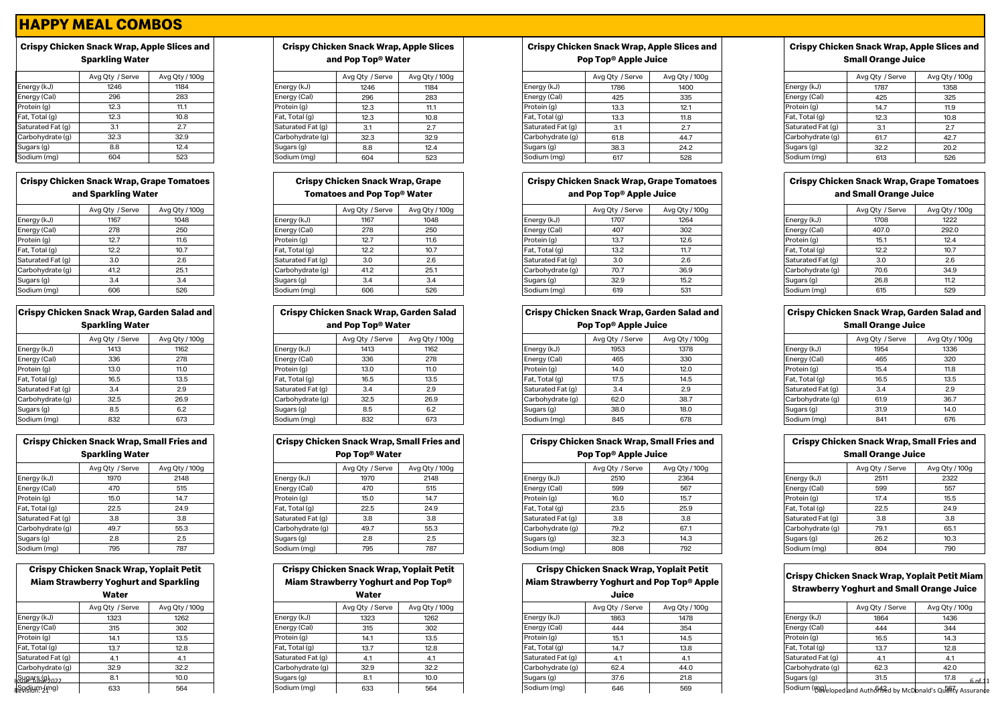# **Crispy Chicken Snack Wrap, Apple Slices and Sparkling Water**

|                   | Avg Qty / Serve | Avg Qty / 100g |
|-------------------|-----------------|----------------|
| Energy (kJ)       | 1246            | 1184           |
| Energy (Cal)      | 296             | 283            |
| Protein (g)       | 12.3            | 11.1           |
| Fat, Total (g)    | 12.3            | 10.8           |
| Saturated Fat (g) | 3.1             | 2.7            |
| Carbohydrate (g)  | 32.3            | 32.9           |
| Sugars (g)        | 8.8             | 12.4           |
| Sodium (mg)       | 604             | 523            |

# **Crispy Chicken Snack Wrap, Grape Tomatoes and Sparkling Water**

|                   | Avg Qty / Serve | Avg Qty / 100g |
|-------------------|-----------------|----------------|
| Energy (kJ)       | 1167            | 1048           |
| Energy (Cal)      | 278             | 250            |
| Protein (g)       | 12.7            | 11.6           |
| Fat, Total (g)    | 12.2            | 10.7           |
| Saturated Fat (g) | 3.0             | 2.6            |
| Carbohydrate (g)  | 41.2            | 25.1           |
| Sugars (g)        | 3.4             | 3.4            |
| Sodium (ma)       | 606             | 526            |

| <b>Crispy Chicken Snack Wrap, Garden Salad and</b> |                 |                |  |  |  |  |  |  |  |
|----------------------------------------------------|-----------------|----------------|--|--|--|--|--|--|--|
| <b>Sparkling Water</b>                             |                 |                |  |  |  |  |  |  |  |
|                                                    | Avg Qty / Serve | Avg Qty / 100g |  |  |  |  |  |  |  |
| Energy (kJ)                                        | 1413            | 1162           |  |  |  |  |  |  |  |
| Energy (Cal)                                       | 336             | 278            |  |  |  |  |  |  |  |
|                                                    |                 |                |  |  |  |  |  |  |  |

| Energy (Cal)      | 336  | 278  |
|-------------------|------|------|
| Protein (g)       | 13.0 | 11.0 |
| Fat, Total (g)    | 16.5 | 13.5 |
| Saturated Fat (g) | 3.4  | 2.9  |
| Carbohydrate (g)  | 32.5 | 26.9 |
| Sugars (g)        | 8.5  | 6.2  |
| Sodium (mg)       | 832  | 673  |

| <b>Crispy Chicken Snack Wrap, Small Fries and</b> |                        |                |  |  |  |  |  |  |  |
|---------------------------------------------------|------------------------|----------------|--|--|--|--|--|--|--|
|                                                   | <b>Sparkling Water</b> |                |  |  |  |  |  |  |  |
|                                                   | Avg Qty / Serve        | Avg Qty / 100g |  |  |  |  |  |  |  |
| Energy (kJ)                                       | 1970                   | 2148           |  |  |  |  |  |  |  |
| Energy (Cal)                                      | 470                    | 515            |  |  |  |  |  |  |  |
| Protein (g)                                       | 15.0                   | 14.7           |  |  |  |  |  |  |  |
| E - 1 - E - 1 - 1 / - 3                           | $\sim$ $\sim$ $\sim$   | $\sim$ $\sim$  |  |  |  |  |  |  |  |

# **Crispy Chicken Snack Wrap, Yoplait Petit Miam Strawberry Yoghurt and Sparkling**

|                           | Water           |               |
|---------------------------|-----------------|---------------|
|                           | Avg Qty / Serve | Avg Qty / 100 |
| Energy (kJ)               | 1323            | 1262          |
| Energy (Cal)              | 315             | 302           |
| Protein (g)               | 14.1            | 13.5          |
| Fat, Total (g)            | 13.7            | 12.8          |
| Saturated Fat (g)         | 4.1             | 4.1           |
| Carbohydrate (q)          | 32.9            | 32.2          |
| Sugars (g) <sub>ဂ၁၁</sub> | 8.1             | 10.0          |
| Sodium (mg)               | 633             | 564           |

#### **Crispy Chicken Snack Wrap, Apple Slices and Pop Top® Water**

|                   | Avg Qty / Serve | Avg Qty / 100g |
|-------------------|-----------------|----------------|
| Energy (kJ)       | 1246            | 1184           |
| Energy (Cal)      | 296             | 283            |
| Protein (g)       | 12.3            | 11.1           |
| Fat, Total (g)    | 12.3            | 10.8           |
| Saturated Fat (g) | 3.1             | 27             |
| Carbohydrate (q)  | 32.3            | 32.9           |
| Sugars (g)        | 8.8             | 12.4           |
| Sodium (mg)       | 604             | 523            |

### **Crispy Chicken Snack Wrap, Grape Tomatoes and Pop Top® Water**

|                   | Avg Qty / Serve | Avg Qty / 100g |
|-------------------|-----------------|----------------|
| Energy (kJ)       | 1167            | 1048           |
| Energy (Cal)      | 278             | 250            |
| Protein (g)       | 12.7            | 11.6           |
| Fat, Total (g)    | 12.2            | 10.7           |
| Saturated Fat (g) | 3.0             | 2.6            |
| Carbohydrate (q)  | 41.2            | 25.1           |
| Sugars (g)        | 3.4             | 3.4            |
| Sodium (mg)       | 606             | 526            |

# **Crispy Chicken Snack Wrap, Garden Salad and Pop Top® Water**

|                   | Avg Qty / Serve | Avg Qty / 100g |                   | Avg Qty / Serve | Avg Qty / 100g |                   | Avg Qty / Serve | Avg Qty / 100g |                   | Avg Qty / Serve | Avg Qty |
|-------------------|-----------------|----------------|-------------------|-----------------|----------------|-------------------|-----------------|----------------|-------------------|-----------------|---------|
| Energy (kJ)       | 1413            | 1162           | Energy (kJ)       | 1413            | 1162           | Energy (kJ)       | 1953            | 1378           | Energy (kJ)       | 1954            | 133     |
| Energy (Cal)      | 336             | 278            | Energy (Cal)      | 336             | 278            | Energy (Cal)      | 465             | 330            | Energy (Cal)      | 465             | 320     |
| Protein (g)       | 13.0            | 11.0           | rotein (g)        | 13.0            | 110            | Protein (g)       | 14.0            | 12.0           | Protein (g)       | 15.4            | 11.8    |
| Fat, Total (g)    | 16.5            | 13.5           | Fat, Total (g)    | 16.5            | 13.5           | Fat, Total (g)    | 17.5            | 14.5           | Fat, Total (g)    | 16.5            | 13.5    |
| Saturated Fat (g) |                 | 29             | Saturated Fat (g) | 3.4             |                | Saturated Fat (g) | 3.4             | 2.9            | Saturated Fat (q) | 3.4             | 2.9     |
| Carbohydrate (g)  | 32.5            | 26.9           | Carbohydrate (g)  | 32.5            | 26.9           | Carbohydrate (g)  | 62.0            | 38.7           | Carbohydrate (g)  | 61.9            | 36.7    |
| Sugars (g)        |                 | 6.2            | Sugars (g)        | 8.5             | 6.2            | Sugars (g)        | 38.0            | 18.0           | Sugars (g)        | 31.9            | 14.0    |
| Sodium (mg)       | 832             | 673            | Sodium (mg)       | 832             | 673            | Sodium (mg)       | 845             | 678            | Sodium (mg)       | 841             | 676     |

#### **Crispy Chicken Snack Wrap, Small Fries and Pop Top® Water**

|                   | <b>LAN LAN- MATALE</b> |                |
|-------------------|------------------------|----------------|
|                   | Avg Qty / Serve        | Avg Qty / 100g |
| Energy (kJ)       | 1970                   | 2148           |
| Energy (Cal)      | 470                    | 515            |
| Protein (g)       | 15.0                   | 14.7           |
| Fat, Total (g)    | 22.5                   | 24.9           |
| Saturated Fat (g) | 3.8                    | 3.8            |
| Carbohydrate (g)  | 49.7                   | 55.3           |
| Sugars (g)        | 2.8                    | 2.5            |
| Sodium (mg)       | 795                    | 787            |

### **Crispy Chicken Snack Wrap, Yoplait Petit Miam Strawberry Yoghurt and Pop Top®**

|                  | Water           |                |  |  |  |  |  |  |  |  |  |  |
|------------------|-----------------|----------------|--|--|--|--|--|--|--|--|--|--|
|                  | Avg Qty / Serve | Avg Qty / 100g |  |  |  |  |  |  |  |  |  |  |
| nergy (kJ)       | 1323            | 1262           |  |  |  |  |  |  |  |  |  |  |
| nergy (Cal)      | 315             | 302            |  |  |  |  |  |  |  |  |  |  |
| rotein (g)       | 14.1            | 13.5           |  |  |  |  |  |  |  |  |  |  |
| at, Total (g)    | 13.7            | 12.8           |  |  |  |  |  |  |  |  |  |  |
| aturated Fat (g) | 4.1             | 4.1            |  |  |  |  |  |  |  |  |  |  |
| arbohydrate (g): | 32.9            | 32.2           |  |  |  |  |  |  |  |  |  |  |
| ugars (g)        | 8.1             | 10.0           |  |  |  |  |  |  |  |  |  |  |
| odium (mg)       | 633             | 564            |  |  |  |  |  |  |  |  |  |  |
|                  |                 |                |  |  |  |  |  |  |  |  |  |  |

# **Crispy Chicken Snack Wrap, Apple Slices and Pop Top® Apple Juice**

|                   | Avg Qty / Serve | Avg Qty / 100g |                   | Avg Qty / Serve | Avg Qty / 100g |                   | Avg Qty / Serve | Avg Qty / 100g |                   | Avg Qty / Serve | Avg Qty / 100g |
|-------------------|-----------------|----------------|-------------------|-----------------|----------------|-------------------|-----------------|----------------|-------------------|-----------------|----------------|
| Energy (kJ)       | 1246            | 1184           | Energy (kJ)       | 1246            | 1184           | Energy (kJ)       | 1786            | 1400           | Energy (kJ)       | 1787            | 1358           |
| Energy (Cal)      | 296             | 283            | Energy (Cal)      | 296             | 283            | Energy (Cal)      | 425             | 335            | Energy (Cal)      | 425             | 325            |
| Protein (g)       | 12.3            | 11.1           | Protein (g)       | 12.3            | 11.1           | Protein (g)       |                 | 12.1           | Protein (g)       | 14.7            | 11.9           |
| Fat, Total (g)    | 12.3            | 10.8           | Fat, Total (g)    | 12.3            | 10.8           | Fat, Total (g)    | 13.3            | 11.8           | Fat, Total (g)    | 12.3            | 10.8           |
| Saturated Fat (g) |                 | $\sim$         | Saturated Fat (q) | 3.1             | 2.7            | Saturated Fat (g) |                 | 27             | Saturated Fat (g) | ا دب            |                |
| Carbohydrate (g)  | 32.3            | 32.9           | Carbohydrate (g)  | 32.3            | 32.9           | Carbohydrate (g)  | 61.8            | 44.7           | Carbohydrate (g)  | 61.7            | 42.7           |
| Sugars (g)        | 8.8             | 12.4           | Sugars (g)        | 8.8             | 12.4           | Sugars (g)        | 38.3            | 24.2           | Sugars (g)        | 32.2            | 20.2           |
| Sodium (mg)       | 604             | 523            | Sodium (mg)       | 604             | 523            | Sodium (mg)       | C17             | 528            | Sodium (mg)       | 613             | 526            |

#### **Crispy Chicken Snack Wrap, Grape Tomatoes and Pop Top® Apple Juice**

|                   | Avg Qty / Serve | Avg Qty / 100g  |                   | Avg Qty / Serve | Avg Qty / 100g |                   | Avg Qty / Serve | Avg Qty / 100g |                   | Avg Qty / Serve | Avg Qty / 100g |
|-------------------|-----------------|-----------------|-------------------|-----------------|----------------|-------------------|-----------------|----------------|-------------------|-----------------|----------------|
| Energy (kJ)       | 1167            | 1048            | Energy (kJ)       | 1167            | 1048           | Energy (kJ)       | 1707            | 1264           | Energy (kJ)       | 1708            | 1222           |
| Energy (Cal)      | 278             | 250             | Energy (Cal)      | 278             | 250            | Energy (Cal)      | $40^{-}$        | 302            | Energy (Cal)      | 407.0           | 292.0          |
| Protein (g)       | 107             | 11.6            | Protein (g)       | 12.7            | 11.6           | Protein (g)       |                 | 12.6           | Protein (g)       | 10. I           | 12.4           |
| Fat, Total (g)    | 12.2            | 10 <sub>2</sub> | Fat, Total (g)    | 12.2            | 10.7           | Fat, Total (g)    | 13.2            | 11.7           | Fat, Total (g)    | 12.2            | 10.7           |
| Saturated Fat (g) |                 | 2.6             | Saturated Fat (g) | 3.0             | 2.6            | Saturated Fat (g) | 3.0             | 2.6            | Saturated Fat (g) | 3.0             | 2.6            |
| Carbohydrate (g)  | 41.2            | 25.7            | Carbohydrate (g)  | 41.2            | 25.1           | Carbohydrate (g)  | 70.7            | 36.9           | Carbohydrate (g)  | 70.6            | 34.9           |
| Sugars (g)        | 34              |                 | Sugars (g)        |                 | -3.4           | Sugars (g)        | 32.9            | 15.2           | Sugars (g)        | 26.8            | 11.2           |
| Sodium (mg)       | 606             | 526             | Sodium (mg)       | 606             | 526            | Sodium (mg        |                 | 531            | Sodium (mg)       | 615             | 529            |

# **Crispy Chicken Snack Wrap, Garden Salad and**

**Pop Top® Apple Juice**

|                   | Avg Qty / Serve | Avg Qty / 100g |  |                   | Avg Qty / Serve | Avg Qty / 100g |                   | Avg Qty / Serve | Avg Qty / 100g |                   | Avg Qty / Serve | Avg Qty / 100g |
|-------------------|-----------------|----------------|--|-------------------|-----------------|----------------|-------------------|-----------------|----------------|-------------------|-----------------|----------------|
| Energy (kJ)       | 1413            | 1162           |  | Energy (kJ)       | 1413            | 1162           | Energy (kJ)       | 1953            | 1378           | Energy (kJ)       | 1954            | 1336           |
| Energy (Cal)      | 336             | 278            |  | Energy (Cal)      | 336             | 278            | Energy (Cal)      | 465             | 330            | Energy (Cal)      | 465             | 320            |
| Protein (g)       | 13.0            | 11.0           |  | Protein (g)       | 13.0            | 11.0           | Protein (g)       | 14.0            | 12.0           | Protein (g)       | 15.4            | 11.8           |
| Fat, Total (g)    | 16.5            | 13.5           |  | Fat, Total (g)    | 16.5            | 13.5           | Fat, Total (g)    | 17.5            | 14.5           | Fat, Total (g)    | 16.5            | 13.5           |
| Saturated Fat (g) | 3.4             | 2.9            |  | Saturated Fat (g) | 3.4             | 2.9            | Saturated Fat (g) |                 | 2.9            | Saturated Fat (g) | 3.4             |                |
| Carbohydrate (g)  | 32.5            | 26.9           |  | Carbohydrate (g)  | 32.5            | 26.9           | Carbohydrate (g)  | 62.0            | 38.7           | Carbohydrate (g)  | 61.9            | 36.7           |
| Sugars (g)        |                 |                |  | Sugars (g)        | 8.5             | 6.2            | Sugars (g)        | 38.0            | 18.0           | Sugars (g)        | 31.9            | 14.0           |
| Sodium (mg)       | 832             | 673            |  | Sodium (mg)       | 832             | 673            | Sodium (mg)       | 845             | 678            | Sodium (mg)       | 841             |                |

# **Crispy Chicken Snack Wrap, Small Fries and Pop Top® Apple Juice**

|                   | Avg Qty / Serve | Avg Qty / 100g |                   | Avg Qty / Serve | Avg Qty / 100g |                   | Avg Qty / Serve | Avg Qty / 100g |                   | Avg Qty / Serve | Avg Qty / 100g |
|-------------------|-----------------|----------------|-------------------|-----------------|----------------|-------------------|-----------------|----------------|-------------------|-----------------|----------------|
| Energy (kJ)       | 1970            | 2148           | Energy (kJ)       | 1970            | 2148           | Energy (kJ)       | 2510            | 2364           | Energy (kJ)       | 2511            | 2322           |
| Energy (Cal)      | 470             | 515            | Energy (Cal)      | 470             | 515            | Energy (Cal)      | 599             | 567            | Energy (Cal)      | 599             | 557            |
| Protein (g)       | 15.0            | 14.7           | Protein (g)       | 15.0            | 14.7           | Protein (g)       | 16.0            | 15.7           | Protein (g)       | 17.4            | 15.5           |
| Fat, Total (g)    | 22.5            | 24.9           | Fat, Total (g)    | 22.5            | 24.9           | Fat, Total (g)    | 23.5            | 25.9           | Fat, Total (g)    | 22.5            | 24.9           |
| Saturated Fat (g) | 3.8             | 3.8            | Saturated Fat (g) | 3.8             | 3.8            | Saturated Fat (g) | 3.8             | 3.8            | Saturated Fat (g) | 3.8             | 3.8            |
| Carbohydrate (g)  | 49.7            | 55.3           | Carbohydrate (g)  | 49.7            | 55.3           | Carbohydrate (g)  | 79.2            | 67.1           | Carbohydrate (g)  | 79.1            | 65.1           |
| Sugars (g)        | 2.8             | 2.5            | Sugars (g)        | 2.8             | 2.5            | Sugars (g)        | 32.3            | 14.3           | Sugars (g)        | 26.2            | 10.3           |
| Sodium (mg)       | 795             | 787            | Sodium (mg)       | 795             | 787            | Sodium (mg)       | 808             | 792            | Sodium (mg)       | 804             |                |

# **Crispy Chicken Snack Wrap, Yoplait Petit Miam Strawberry Yoghurt and Pop Top® Apple**

| v<br>۰.                       |
|-------------------------------|
| Juice<br>۰.<br>۰,<br>×<br>. . |

|                                  | THE             |                |                   | TTALCI          |                |                   | <b>PAICE</b>    |                |                |                   |                                                                 |                |
|----------------------------------|-----------------|----------------|-------------------|-----------------|----------------|-------------------|-----------------|----------------|----------------|-------------------|-----------------------------------------------------------------|----------------|
|                                  | Avg Qty / Serve | Avg Qty / 100g |                   | Avg Qty / Serve | Avg Qty / 100g |                   | Avg Qty / Serve | Avg Qty / 100g |                |                   | Avg Qty / Serve                                                 | Avg Qty / 100g |
| Energy (kJ)                      | 1323            | 1262           | Energy (kJ)       | 1323            | 1262           | Energy (kJ)       | 1863            | 1478           | Energy (kJ)    |                   | 1864                                                            | 1436           |
| Energy (Cal)                     | 315             | 302            | Energy (Cal)      | 315             | 302            | Energy (Cal)      | 444             | 354            | Energy (Cal)   |                   | 444                                                             | 344            |
| Protein (g)                      | 14.1            | 13.5           | Protein (g)       | 14.1            | 13.5           | Protein (g)       |                 | 14.5           | Protein (g)    |                   | 16.5                                                            | 14.3           |
| Fat, Total (g)                   | 13.7            | 12.8           | Fat, Total (g)    | 13.7            | 12.8           | Fat, Total (g)    | 14.7            | 13.8           | Fat, Total (g) |                   | 13.7                                                            | 12.8           |
| Saturated Fat (g)                | 4.              |                | Saturated Fat (g) |                 |                | Saturated Fat (g) |                 |                |                | Saturated Fat (g) |                                                                 |                |
| Carbohydrate (q)                 | 32.9            | 32.2           | Carbohydrate (g)  | 32.9            | 32.2           | Carbohydrate (g)  | 62.4            | 44.0           |                | Carbohydrate (g)  | 62.3                                                            | 42.0           |
| <u>Sugars (g) <sub>022</sub></u> |                 | 10.0           | Sugars (g)        |                 | 10.0           | Sugars (g)        | 37.6            | 21.8           | Sugars (g)     |                   | 31.5                                                            | 17.8           |
| Sodium (mg)                      | 633             | 564            | Sodium (mg)       | 633             | 564            | Sodium (mg)       | 646             | 569            |                |                   | Sodium (BQ)eloped and Authorised by McDonald's Quanty Assurance |                |

# **Crispy Chicken Snack Wrap, Apple Slices and Small Orange Juice**

|                  | Avg Qty / Serve | Avg Qty / 100g |
|------------------|-----------------|----------------|
| nergy (kJ)       | 1787            | 1358           |
| nergy (Cal)      | 425             | 325            |
| rotein (g)       | 14.7            | 11.9           |
| at, Total (g)    | 12.3            | 10.8           |
| aturated Fat (g) | 3.1             | 2.7            |
| arbohydrate (g)  | 61.7            | 42.7           |
| ugars (g)        | 32.2            | 20.2           |
| odium (mg)       | 613             | 526            |

### **Crispy Chicken Snack Wrap, Grape Tomatoes and Small Orange Juice**

|                   | Avg Qty / Serve | Avg Qty / 100g |  |  |
|-------------------|-----------------|----------------|--|--|
| Energy (kJ)       | 1708            | 1222           |  |  |
| Energy (Cal)      | 407.0           | 292.0          |  |  |
| Protein (g)       | 15.1            | 12.4           |  |  |
| Fat, Total (g)    | 12.2            | 10.7           |  |  |
| Saturated Fat (g) | 3.0             | 2.6            |  |  |
| Carbohydrate (g)  | 70.6            | 34.9           |  |  |
| Sugars (g)        | 26.8            | 11.2           |  |  |
| Sodium (mg)       | 615             | 529            |  |  |

#### **Crispy Chicken Snack Wrap, Garden Salad and Small Orange Juice**

|                   | Avg Qty / Serve | Avg Qty / 100g |  |  |  |
|-------------------|-----------------|----------------|--|--|--|
| Energy (kJ)       | 1954            | 1336           |  |  |  |
| Energy (Cal)      | 465             | 320            |  |  |  |
| Protein (g)       | 15.4            | 11.8           |  |  |  |
| Fat, Total (g)    | 16.5            | 13.5           |  |  |  |
| Saturated Fat (g) | 3.4             | 2.9            |  |  |  |
| Carbohydrate (g)  | 61.9            | 36.7           |  |  |  |
| Sugars (g)        | 31.9            | 14.0           |  |  |  |
| Sodium (mg)       | 841             | 676            |  |  |  |

#### **Crispy Chicken Snack Wrap, Small Fries and Small Orange Juice**

|                   | <u>oman orango oaroo</u> |                |  |  |  |  |  |
|-------------------|--------------------------|----------------|--|--|--|--|--|
|                   | Avg Qty / Serve          | Avg Qty / 100g |  |  |  |  |  |
| Energy (kJ)       | 2511                     | 2322           |  |  |  |  |  |
| Energy (Cal)      | 599                      | 557            |  |  |  |  |  |
| Protein (g)       | 17.4                     | 15.5           |  |  |  |  |  |
| Fat, Total (g)    | 22.5                     | 24.9           |  |  |  |  |  |
| Saturated Fat (g) | 3.8                      | 3.8            |  |  |  |  |  |
| Carbohydrate (g)  | 79.1                     | 65.1           |  |  |  |  |  |
| Sugars (g)        | 26.2                     | 10.3           |  |  |  |  |  |
| Sodium (mg)       | 804                      | 790            |  |  |  |  |  |

### **Crispy Chicken Snack Wrap, Yoplait Petit Miam Strawberry Yoghurt and Small Orange Juice**

|                   | Avg Qty / Serve | Avg Qty / 100g  |
|-------------------|-----------------|-----------------|
| Energy (kJ)       | 1864            | 1436            |
| Energy (Cal)      | 444             | 344             |
| Protein (g)       | 16.5            | 14.3            |
| Fat, Total (g)    | 13.7            | 12.8            |
| Saturated Fat (g) | 4.1             | 4.1             |
| Carbohydrate (g)  | 62.3            | 42.0            |
| Sugars (g)        | 31.5            | 17.8<br>6 of 11 |
|                   | $\sim$ $\sim$   | $-0$            |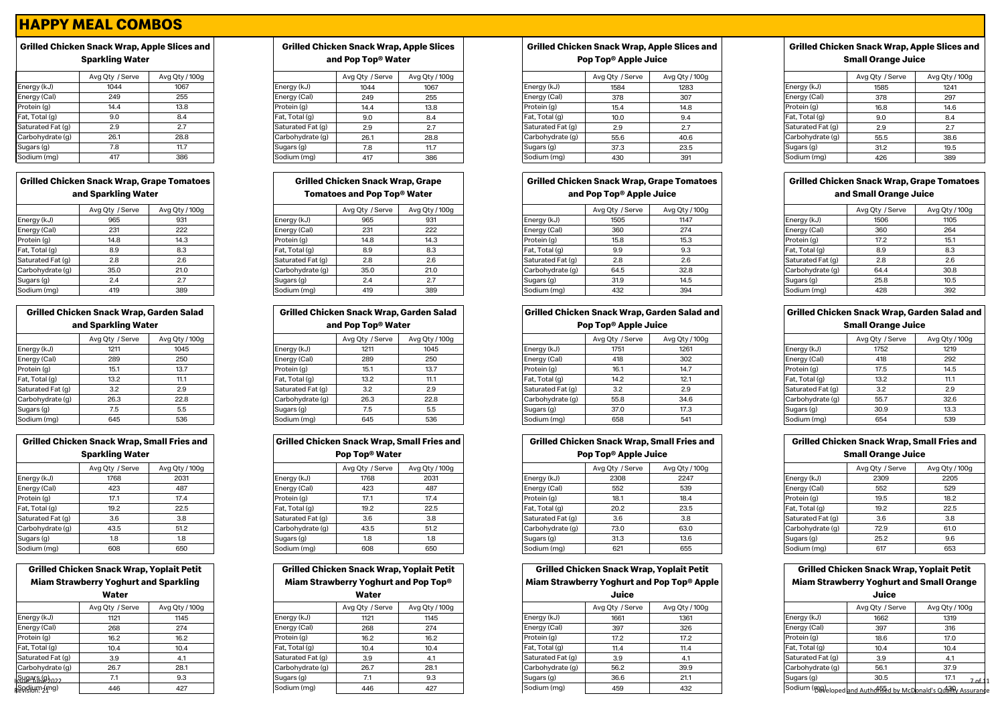# **Grilled Chicken Snack Wrap, Apple Slices and Sparkling Water**

|                   | Avg Qty / Serve | Avg Qty / 100g |
|-------------------|-----------------|----------------|
| Energy (kJ)       | 1044            | 1067           |
| Energy (Cal)      | 249             | 255            |
| Protein (g)       | 14.4            | 13.8           |
| Fat, Total (g)    | 9.0             | 8.4            |
| Saturated Fat (g) | 2.9             | 2.7            |
| Carbohydrate (g)  | 26.1            | 28.8           |
| Sugars (g)        | 7.8             | 11.7           |
| Sodium (ma)       | 417             | 386            |

# **Grilled Chicken Snack Wrap, Grape Tomatoes and Sparkling Water**

|                   | Avg Qty / Serve | Avg Qty / 100g |
|-------------------|-----------------|----------------|
| Energy (kJ)       | 965             | 931            |
| Energy (Cal)      | 231             | 222            |
| Protein (g)       | 14.8            | 14.3           |
| Fat, Total (g)    | 8.9             | 8.3            |
| Saturated Fat (g) | 2.8             | 2.6            |
| Carbohydrate (q)  | 35.0            | 21.0           |
| Sugars (g)        | 2.4             | 2.7            |
| Sodium (ma)       | 419             | 389            |

| Grilled Chicken Snack Wrap, Garden Salad<br>and Sparkling Water |      |      |  |  |  |  |
|-----------------------------------------------------------------|------|------|--|--|--|--|
| Avg Qty / Serve<br>Avg Qty / 100g                               |      |      |  |  |  |  |
| Energy (kJ)                                                     | 1211 | 1045 |  |  |  |  |
| Energy (Cal)                                                    | 289  | 250  |  |  |  |  |
| Protein (g)                                                     | 15.1 | 13.7 |  |  |  |  |
| Fat, Total (g)                                                  | 13.2 | 11.1 |  |  |  |  |
| Saturated Fat (g)                                               | 3.2  | 2.9  |  |  |  |  |
| Carbohydrate (q)                                                | 26.3 | 22.8 |  |  |  |  |
| Sugars (g)                                                      | 7.5  | 5.5  |  |  |  |  |
| Sodium (mg)                                                     | 645  | 536  |  |  |  |  |

| Grilled Chicken Snack Wrap, Small Fries and |                 |                |  |  |  |  |
|---------------------------------------------|-----------------|----------------|--|--|--|--|
| <b>Sparkling Water</b>                      |                 |                |  |  |  |  |
|                                             | Avg Qty / Serve | Avg Qty / 100g |  |  |  |  |
| Energy (kJ)                                 | 1768            | 2031           |  |  |  |  |
| Energy (Cal)                                | 423             | 487            |  |  |  |  |
| Protein (g)                                 | 17.1            | 17.4           |  |  |  |  |
| Fat, Total (g)                              | 19.2            | 22.5           |  |  |  |  |
| Saturated Fat (g)                           | 3.6             | 3.8            |  |  |  |  |
| Carbohydrate (g)                            | 43.5            | 51.2           |  |  |  |  |
| Sugars (g)                                  | 1.8             | 1.8            |  |  |  |  |
| Sodium (ma)                                 | 608             | 650            |  |  |  |  |

#### **Grilled Chicken Snack Wrap, Yoplait Petit Miam Strawberry Yoghurt and Sparkling Water**

| Avg Qty / Serve |
|-----------------|
| 1121            |
| 268             |

 $\text{Supp}_0$ Revelium (mg)

| <b>Grilled Chicken Snack Wrap, Apple Slices</b> |
|-------------------------------------------------|
| and Pop Top <sup>®</sup> Water                  |

|                   | Avg Qty / Serve | Avg Qty / 100g |
|-------------------|-----------------|----------------|
| Energy (kJ)       | 1044            | 1067           |
| Energy (Cal)      | 249             | 255            |
| Protein (g)       | 14.4            | 13.8           |
| Fat, Total (g)    | 9.0             | 8.4            |
| Saturated Fat (g) | 2.9             | 27             |
| Carbohydrate (q)  | 26.1            | 28.8           |
| Sugars (g)        | 7.8             | 11.7           |
| Sodium (mg)       | 417             | 386            |

#### **Grilled Chicken Snack Wrap, Grape Tomatoes and Pop Top® Water**

|                   | Avg Qty / Serve | Avg Qty / 100g |
|-------------------|-----------------|----------------|
| Energy (kJ)       | 965             | 931            |
| Energy (Cal)      | 231             | 222            |
| Protein (g)       | 14.8            | 14.3           |
| Fat, Total (g)    | 8.9             | 8.3            |
| Saturated Fat (g) | 2.8             | 2.6            |
| Carbohydrate (q)  | 35.0            | 21.0           |
| Sugars (g)        | 2.4             | 2.7            |
| Sodium (mg)       | 419             | 389            |

# **Grilled Chicken Snack Wrap, Garden Salad and Pop Top® Water**

|                   | Avg Qty / Serve | Avg Qty / 100g |                   | Avg Qty / Serve | Avg Qty / 100g |                   | Avg Qty / Serve | Avg Qty / 100g |                   | Avg Qty / Serve | Avg Qty , |
|-------------------|-----------------|----------------|-------------------|-----------------|----------------|-------------------|-----------------|----------------|-------------------|-----------------|-----------|
| Energy (kJ)       | 1211            | 1045           | Energy (kJ)       | 1211            | 1045           | Energy (kJ)       | 1751            | 1261           | Energy (kJ)       | 1752            | 1219      |
| Energy (Cal)      | 289             | 250            | Energy (Cal)      | 289             | 250            | Energy (Cal)      | 418             | 302            | Energy (Cal)      |                 | 292       |
| Protein (g)       |                 | 13.7           | Protein (g)       |                 | 13.7           | Protein (g)       | 16.1            | 14.7           | Protein (g)       | 17.5            | 14.5      |
| Fat, Total (g)    | 13.2            | 11.1           | Fat, Total (g)    | 13.2            | 11.1           | Fat, Total (g)    | 14.2            | 12.1           | Fat, Total (g)    | 13.2            | 11.1      |
| Saturated Fat (g) | 3.2             | 2.9            | Saturated Fat (g) | 3.2             | 2.9            | Saturated Fat (g) | 3.2             | 2.9            | Saturated Fat (q) | 3.2             | 2.9       |
| Carbohydrate (g)  | 26.3            | 22.8           | Carbohydrate (g)  | 26.3            | 22.8           | Carbohydrate (g)  | 55.8            | 34.6           | Carbohydrate (g)  | 55.7            | 32.6      |
| Sugars (g)        | ن. ،            | 5.5            | Sugars (g)        | フロ<br>$\sim$    | 5.5            | Sugars (g)        | 37.0            | 17.3           | Sugars (g)        | 30.9            | 13.3      |
| Sodium (mg)       | 645             | 536            | Sodium (mg)       | 645             | 536            | Sodium (mg)       | 658             |                | Sodium (mg)       | 654             | 539       |

#### **Grilled Chicken Snack Wrap, Small Fries and Pop Top® Water**

|                   | rop Top® water  |                |
|-------------------|-----------------|----------------|
|                   | Avg Qty / Serve | Avg Qty / 100g |
| Energy (kJ)       | 1768            | 2031           |
| Energy (Cal)      | 423             | 487            |
| Protein (g)       | 17.1            | 17.4           |
| Fat, Total (g)    | 19.2            | 22.5           |
| Saturated Fat (g) | 3.6             | 3.8            |
| Carbohydrate (g)  | 43.5            | 51.2           |
| Sugars (g)        | 1.8             | 1.8            |
| Sodium (mg)       | 608             | 650            |

### **Grilled Chicken Snack Wrap, Yoplait Petit Miam Strawberry Strawberry Strawberry**

| Water |  |
|-------|--|
|       |  |

|                   | Avg Qty / Serve | Avg Qty / 100g |
|-------------------|-----------------|----------------|
| Energy (kJ)       | 1121            | 1145           |
| Energy (Cal)      | 268             | 274            |
| Protein (g)       | 16.2            | 16.2           |
| Fat, Total (g)    | 10.4            | 10.4           |
| Saturated Fat (g) | 3.9             | 4.1            |
| Carbohydrate (g)  | 26.7            | 28.1           |
| Sugars (g)        | 7.1             | 9.3            |
| Sodium (mg)       | 446             | 427            |

# **Grilled Chicken Snack Wrap, Apple Slices and Pop Top® Apple Juice**

|                   | Avg Qty / Serve | Avg Qty / 100g |                   | Avg Qty / Serve | Avg Qty / 100g |                   | Avg Qty / Serve | Avg Qty / 100g  |                   | Avg Qty / Serve | Avg Qty / 100g |
|-------------------|-----------------|----------------|-------------------|-----------------|----------------|-------------------|-----------------|-----------------|-------------------|-----------------|----------------|
| Energy (kJ)       | 1044            | 1067           | Energy (kJ)       | 1044            | 1067           | Energy (kJ)       | 1584            | 1283            | Energy (kJ)       | 1585            | 1241           |
| Energy (Cal)      | 249             | 255            | Energy (Cal)      | 249             | 255            | Energy (Cal)      | 378             | 307             | Energy (Cal)      | 378             | 297            |
| Protein (g)       | 14.4            | 13.8           | Protein (g)       | 14.4            | 13.8           | Protein (g)       |                 | 14.8            | Protein (g)       | 16.8            | 14.6           |
| Fat, Total (g)    |                 | 8.4            | Fat, Total (g)    | 9.0             | 8.4            | Fat, Total (g)    | 10.0            |                 | Fat, Total (g)    |                 |                |
| Saturated Fat (g) | 2.9             | 2.7            | Saturated Fat (g) | 2.9             | 2.7            | Saturated Fat (g) |                 | $\mathcal{L}$ . | Saturated Fat (g) | 2.9             |                |
| Carbohydrate (q)  | 26.1            | 28.8           | Carbohydrate (g)  | 26.1            | 28.8           | Carbohydrate (g)  | 55.6            | 40.6            | Carbohydrate (g)  | 55.5            | 38.6           |
| Sugars (g)        |                 | 11.7           | Sugars (g)        | 70<br>1.0       | 11.7           | Sugars (g)        | 37.3            | 23.5            | Sugars (g)        | 31.2            | 19.5           |
| Sodium (mg)       | 417             | 386            | Sodium (mg)       | 417             | 386            | Sodium (mg)       | 43C             | 391             | Sodium (mg)       | 426             | 389            |

#### **Grilled Chicken Snack Wrap, Grape Tomatoes and Pop Top® Apple Juice**

|                   | Avg Qty / Serve | Avg Qty / 100g |                   | Avg Qty / Serve | Avg Qty / 100g |                   | Avg Qty / Serve | Avg Qty / 100g |                   | Avg Qty / Serve | Avg Qty / 100g |
|-------------------|-----------------|----------------|-------------------|-----------------|----------------|-------------------|-----------------|----------------|-------------------|-----------------|----------------|
| Energy (kJ)       | 965             | 931            | Energy (kJ)       | 965             | 931            | Energy (kJ)       | 1505            | 1147           | Energy (kJ)       | 1506            | 1105           |
| Energy (Cal)      | 231             | 222            | Energy (Cal)      | 231             | 222            | Energy (Cal)      | 360             | 274            | Energy (Cal)      | 360             | 264            |
| Protein (g)       | 14.8            | 14.3           | Protein (g)       | 14.8            | 14.3           | Protein (g)       | = с<br>15.O     | 15.3           | Protein (g)       | 17.2            | 15.1           |
| Fat, Total (g)    | 8.9             | 8.3            | Fat, Total (g)    | 8.9             | 8.3            | Fat, Total (g)    |                 | 9.3            | Fat, Total (g)    | 8.9             | 8.3            |
| Saturated Fat (g) | 2.8             | 2.6            | Saturated Fat (q) | 2.8             | 2.6            | Saturated Fat (g) |                 | 2.6            | Saturated Fat (g) | 2.8             |                |
| Carbohydrate (g)  | 35.0            | 21.0           | Carbohydrate (q)  | 35.0            | 21.0           | Carbohydrate (g)  | 64.5            | 32.8           | Carbohydrate (g)  | 64.4            | 30.8           |
| Sugars (g)        | 2.4             | 2.7            | Sugars (g)        |                 | 2.7            | Sugars (g)        | 31.9            | 14.5           | Sugars (g)        | 25.8            | 10.5           |
| Sodium (mg)       | 419             | 389            | Sodium (mg)       | 419             | 389            | Sodium (mg)       | 432             | 394            | Sodium (mg)       | 428             | 392            |

# **Grilled Chicken Snack Wrap, Garden Salad and**

**Pop Top® Apple Juice**

|                   | Avg Qty / Serve | Avg Qty / 100g |                   | Avg Qty / Serve | Avg Qty / 100g |                   | Avg Qty / Serve | Avg Qty / 100g |                   | Avg Qty / Serve | Avg Qty / 100g |
|-------------------|-----------------|----------------|-------------------|-----------------|----------------|-------------------|-----------------|----------------|-------------------|-----------------|----------------|
| Energy (kJ)       | 1211            | 1045           | Energy (kJ)       | 1211            | 1045           | Energy (kJ)       | 1751            | 126            | Energy (kJ)       | 1752            | 1219           |
| Energy (Cal)      | 289             | 250            | Energy (Cal)      | 289             | 250            | Energy (Cal)      |                 | 302            | Energy (Cal)      | 418             | 292            |
| Protein (g)       |                 | 13.7           | Protein (g)       | 15.1            | 13.7           | Protein (g)       |                 | 14.7           | Protein (g)       |                 | 14.5           |
| Fat, Total (g)    | 13.2            | 11.1           | Fat, Total (g)    | 13.2            | 11.1           | Fat, Total (g)    | 14.2            | 12.1           | Fat, Total (g)    | 13.2            |                |
| Saturated Fat (g) | 3.2             | 2.9            | Saturated Fat (g) | 3.2             | 2.9            | Saturated Fat (g) |                 | 2.9            | Saturated Fat (g) | 3.2             |                |
| Carbohydrate (g)  | 26.3            | 22.8           | Carbohydrate (g)  | 26.3            | 22.8           | Carbohydrate (g)  | 55.8            | 34.6           | Carbohydrate (g)  | 55.7            | 32.6           |
| Sugars (g)        |                 | 5.5            | Sugars (g)        |                 | 5.5            | Sugars (g)        | 37.0            | 17.3           | Sugars (g)        | 30.9            | 13.3           |
| Sodium (mg)       | 645             | 536            | Sodium (mg)       | 645             | 536            | Sodium (mg)       | 658             | 541            | Sodium (mg)       | 654             |                |

### **Grilled Chicken Snack Wrap, Small Fries and Pop Top® Apple Juice**

|                   |                 |                |  |                   |                 |                | .                 |                 |                |  |                   |                 |                |
|-------------------|-----------------|----------------|--|-------------------|-----------------|----------------|-------------------|-----------------|----------------|--|-------------------|-----------------|----------------|
|                   | Avg Qty / Serve | Avg Qty / 100g |  |                   | Avg Qty / Serve | Avg Qty / 100g |                   | Avg Qty / Serve | Avg Qty / 100g |  |                   | Avg Qty / Serve | Avg Qty / 100g |
| Energy (kJ)       | 1768            | 2031           |  | Energy (kJ)       | 1768            | 2031           | Energy (kJ)       | 2308            | 2247           |  | Energy (kJ)       | 2309            | 2205           |
| Energy (Cal)      | 423             | 487            |  | Energy (Cal)      | 423             | 487            | Energy (Cal)      | 552             | 539            |  | Energy (Cal)      | 552             | 529            |
| Protein (g)       | 17.1            | 17.4           |  | Protein (g)       | 17.1            | 17.4           | Protein (g)       | 18.1            | 18.4           |  | Protein (g)       | 19.5            | 18.2           |
| Fat, Total (g)    | 19.2            | 22.5           |  | Fat, Total (g)    | 19.2            | 22.5           | Fat, Total (g)    | 20.2            | 23.5           |  | Fat, Total (g)    | 19.2            | 22.5           |
| Saturated Fat (g) | 3.6             | 3.8            |  | Saturated Fat (g) | 3.6             | 3.8            | Saturated Fat (g) | 3.6             | 3.8            |  | Saturated Fat (g) | 3.6             | 3.8            |
| Carbohydrate (q)  | 43.5            | 51.2           |  | Carbohydrate (q)  | 43.5            | 51.2           | Carbohydrate (g)  | 73.0            | 63.0           |  | Carbohydrate (g)  | 72.9            | 61.0           |
| Sugars (g)        |                 | 1.8            |  | Sugars (g)        | 1.8             | 1.8            | Sugars (g)        | 31.3            | 13.6           |  | Sugars (g)        | 25.2            | 9.6            |
| Sodium (mg)       | 608             | 650            |  | Sodium (mg)       | 608             | 650            | Sodium (mg)       | 621             | 655            |  | Sodium (mg)       | 617             | 653            |

### **Grilled Chicken Snack Wrap, Yoplait Petit Miam Strawberry Yoghurt and Pop Top® Apple**

| ممثبتا |  |
|--------|--|

|                   | Water           |                |                   | Water           |                |                   | Juice           |                |                   | Juice                                                     |                |
|-------------------|-----------------|----------------|-------------------|-----------------|----------------|-------------------|-----------------|----------------|-------------------|-----------------------------------------------------------|----------------|
|                   | Avg Qty / Serve | Avg Qty / 100g |                   | Avg Qty / Serve | Avg Qty / 100g |                   | Avg Qty / Serve | Avg Qty / 100g |                   | Avg Qty / Serve                                           | Avg Qty / 100g |
| Energy (kJ)       | 1121            | 1145           | Energy (kJ)       | 1121            | 1145           | Energy (kJ)       | 1661            | 1361           | Energy (kJ)       | 1662                                                      | 1319           |
| Energy (Cal)      | 268             | 274            | Energy (Cal)      | 268             | 274            | Energy (Cal)      | 397             | 326            | Energy (Cal)      | 397                                                       | 316            |
| Protein (g)       | 16.2            | 16.2           | Protein (g)       | 16.2            | 16.2           | Protein (g)       | 17.2            | 17.2           | Protein (g)       | 18.6                                                      | 17.0           |
| Fat, Total (g)    | 10.4            | 10.4           | Fat, Total (g)    | 10.4            | 10.4           | Fat, Total (g)    | 11.4            | 11.4           | Fat, Total (g)    | 10.4                                                      | 10.4           |
| Saturated Fat (g) | 3.9             |                | Saturated Fat (q) | 3.9             |                | Saturated Fat (g) | 3.9             |                | Saturated Fat (g) | 3.9                                                       |                |
| Carbohydrate (g)  | 26.7            | 28.1           | Carbohydrate (g)  | 26.7            | 28.1           | Carbohydrate (g)  | 56.2            | 39.9           | Carbohydrate (g)  | 56.1                                                      | 37.9           |
| Sugars (g)<br>၁၁၁ |                 | 9.3            | Sugars (g)        |                 | 9.3            | Sugars (g)        | 36.6            | 21.1           | Sugars (g)        | 30.5                                                      | 17.1           |
| Sodium (mg)       | 446             | 427            | Sodium (mg)       | 446             | 427            | Sodium (mg)       | 459             | 432            |                   | Sodium (mg) loned and Authorized by McDonald's Outro Assi |                |

# **Grilled Chicken Snack Wrap, Apple Slices and Small Orange Juice**

|                  | Avg Qty / Serve | Avg Qty / 100g |
|------------------|-----------------|----------------|
| nergy (kJ)       | 1585            | 1241           |
| nergy (Cal)      | 378             | 297            |
| rotein (g)       | 16.8            | 14.6           |
| at, Total (g)    | 9.0             | 8.4            |
| aturated Fat (g) | 2.9             | 2.7            |
| arbohydrate (g)  | 55.5            | 38.6           |
| ugars (g)        | 31.2            | 19.5           |
| odium (mg)       | 426             | 389            |

### **Grilled Chicken Snack Wrap, Grape Tomatoes and Small Orange Juice**

|                   | Avg Qty / Serve | Avg Qty / 100g |
|-------------------|-----------------|----------------|
| Energy (kJ)       | 1506            | 1105           |
| Energy (Cal)      | 360             | 264            |
| Protein (g)       | 17.2            | 15.1           |
| Fat, Total (g)    | 8.9             | 8.3            |
| Saturated Fat (g) | 2.8             | 2.6            |
| Carbohydrate (g)  | 64.4            | 30.8           |
| Sugars (g)        | 25.8            | 10.5           |
| Sodium (mg)       | 428             | 392            |

#### **Grilled Chicken Snack Wrap, Garden Salad and Small Orange Juice**

|                   | Avg Qty / Serve | Avg Qty / 100g |  |  |
|-------------------|-----------------|----------------|--|--|
| Energy (kJ)       | 1752            | 1219           |  |  |
| Energy (Cal)      | 418             | 292            |  |  |
| Protein (g)       | 17.5            | 14.5           |  |  |
| Fat, Total (g)    | 13.2            | 11.1           |  |  |
| Saturated Fat (g) | 3.2             | 2.9            |  |  |
| Carbohydrate (g)  | 55.7            | 32.6           |  |  |
| Sugars (g)        | 30.9            | 13.3           |  |  |
| Sodium (mg)       | 654             | 539            |  |  |

#### **Grilled Chicken Snack Wrap, Small Fries and Small Orange Juice**

|                   | <u>oman orango oaroo</u> |                |  |  |  |
|-------------------|--------------------------|----------------|--|--|--|
|                   | Avg Qty / Serve          | Avg Qty / 100g |  |  |  |
| Energy (kJ)       | 2309                     | 2205           |  |  |  |
| Energy (Cal)      | 552                      | 529            |  |  |  |
| Protein (g)       | 19.5                     | 18.2           |  |  |  |
| Fat, Total (g)    | 19.2                     | 22.5           |  |  |  |
| Saturated Fat (g) | 3.6                      | 3.8            |  |  |  |
| Carbohydrate (g)  | 72.9                     | 61.0           |  |  |  |
| Sugars (g)        | 25.2                     | 9.6            |  |  |  |
| Sodium (mg)       | 617                      | 653            |  |  |  |

# **Grilled Chicken Snack Wrap, Yoplait Petit Miam Strawberry Yoghurt and Small Orange**

| Juice             |                 |                                                                                 |  |  |  |
|-------------------|-----------------|---------------------------------------------------------------------------------|--|--|--|
|                   | Avg Qty / Serve | Avg Qty / 100g                                                                  |  |  |  |
| Energy (kJ)       | 1662            | 1319                                                                            |  |  |  |
| Energy (Cal)      | 397             | 316                                                                             |  |  |  |
| Protein (g)       | 18.6            | 17.0                                                                            |  |  |  |
| Fat, Total (g)    | 10.4            | 10.4                                                                            |  |  |  |
| Saturated Fat (g) | 3.9             | 4.1                                                                             |  |  |  |
| Carbohydrate (g)  | 56.1            | 37.9                                                                            |  |  |  |
| Sugars (g)        | 30.5            | 17.1<br>7 <sub>of</sub> 11                                                      |  |  |  |
|                   |                 | Sodium (၅)ပါ<br>Sodium (၅)ပါ၀စုed and Authorised by McDonald's Quanty Assurance |  |  |  |

| <b>Grilled Chicken Sna</b><br><b>Miam Strawberry Y</b> |  |
|--------------------------------------------------------|--|
|                                                        |  |
| Sodium (mg)                                            |  |
|                                                        |  |

| 487  | En  |
|------|-----|
| 17.4 | Pro |
| 22.5 | Fat |
| 3.8  | Sat |
|      |     |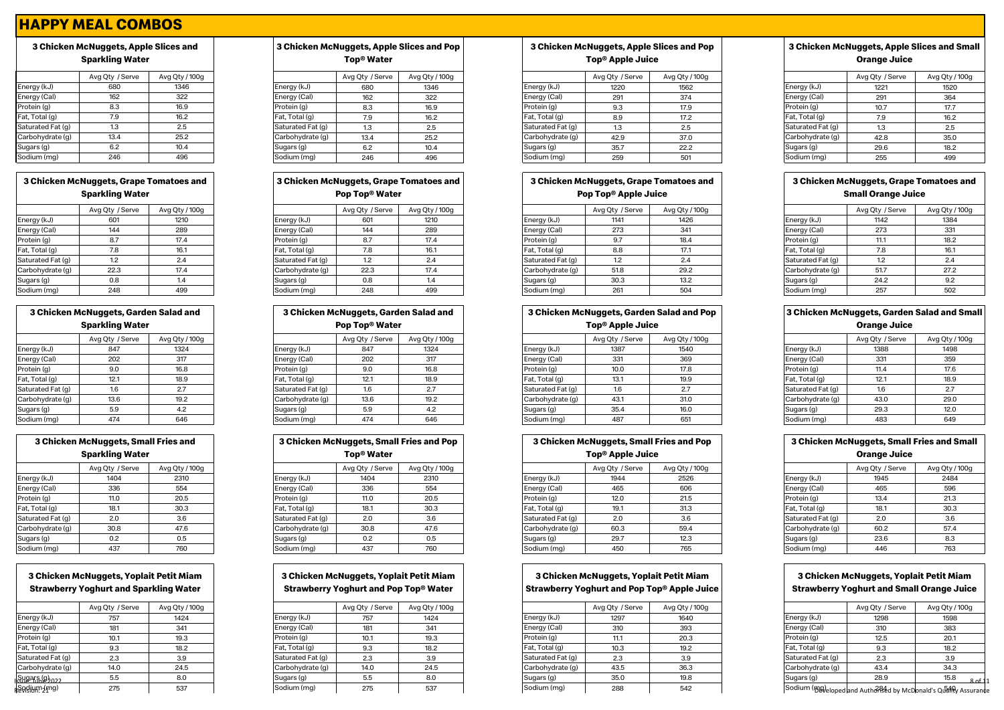# **3 Chicken McNuggets, Apple Slices and Sparkling Water**

|                   | Avg Qty / Serve | Avg Qty / 100g |
|-------------------|-----------------|----------------|
| Energy (kJ)       | 680             | 1346           |
| Energy (Cal)      | 162             | 322            |
| Protein (g)       | 8.3             | 16.9           |
| Fat, Total (g)    | 7.9             | 16.2           |
| Saturated Fat (g) | 1.3             | 2.5            |
| Carbohydrate (g)  | 13.4            | 25.2           |
| Sugars (g)        | 6.2             | 10.4           |
| Sodium (mg)       | 246             | 496            |

# **3 Chicken McNuggets, Grape Tomatoes and Sparkling Water**

|                   | Avg Qty / Serve | Avg Qty / 100g |
|-------------------|-----------------|----------------|
| Energy (kJ)       | 601             | 1210           |
| Energy (Cal)      | 144             | 289            |
| Protein (g)       | 8.7             | 17.4           |
| Fat, Total (g)    | 7.8             | 16.1           |
| Saturated Fat (g) | 1.2             | 2.4            |
| Carbohydrate (q)  | 22.3            | 17.4           |
| Sugars (g)        | 0.8             | 1.4            |
| Sodium (ma)       | 248             | 499            |

| 3 Chicken McNuggets, Garden Salad and<br><b>Sparkling Water</b> |                 |                |  |  |  |
|-----------------------------------------------------------------|-----------------|----------------|--|--|--|
|                                                                 | Avg Qty / Serve | Avg Qty / 100g |  |  |  |
| Energy (kJ)                                                     | 847             | 1324           |  |  |  |
| Energy (Cal)                                                    | 202             | 317            |  |  |  |
| Protein (g)                                                     | 9.0             | 16.8           |  |  |  |
| Fat, Total (g)                                                  | 12.1            | 18.9           |  |  |  |
| Saturated Fat (g)                                               | 1.6             | 2.7            |  |  |  |
| Carbohydrate (q)                                                | 13.6            | 19.2           |  |  |  |
| Sugars (g)                                                      | 5.9             | 4.2            |  |  |  |
| Sodium (mg)                                                     | 474             | 646            |  |  |  |

| 3 Chicken McNuggets, Small Fries and<br><b>Sparkling Water</b> |                 |                |  |  |  |  |  |  |  |
|----------------------------------------------------------------|-----------------|----------------|--|--|--|--|--|--|--|
|                                                                | Avg Qty / Serve | Avg Qty / 100g |  |  |  |  |  |  |  |
| Energy (kJ)                                                    | 1404            | 2310           |  |  |  |  |  |  |  |
| Energy (Cal)                                                   | 336             | 554            |  |  |  |  |  |  |  |
| Protein (g)                                                    | 11.0            | 20.5           |  |  |  |  |  |  |  |
| Fat, Total (g)                                                 | 18.1            | 30.3           |  |  |  |  |  |  |  |
| Saturated Fat (g)                                              | 2.0             | 3.6            |  |  |  |  |  |  |  |
| Carbohydrate (q)                                               | 30.8            | 47.6           |  |  |  |  |  |  |  |
| Sugars (g)                                                     | 0.2             | 0.5            |  |  |  |  |  |  |  |
| Sodium (mg)                                                    | 437             | 760            |  |  |  |  |  |  |  |

# **3 Chicken McNuggets, Yoplait Petit Miam Strawberry Yoghurt and Sparkling Water**

|                           | Avg Qty / Serve | Avg Qty / 100g |  |  |
|---------------------------|-----------------|----------------|--|--|
| Energy (kJ)               | 757             | 1424           |  |  |
| Energy (Cal)              | 181             | 341            |  |  |
| Protein (g)               | 10.1            | 19.3           |  |  |
| Fat, Total (g)            | 9.3             | 18.2           |  |  |
| Saturated Fat (g)         | 2.3             | 3.9            |  |  |
| Carbohydrate (g)          | 14.0            | 24.5           |  |  |
| Sugars (g) <sub>022</sub> | 5.5             | 8.0            |  |  |
| sodium (mg)               | 275             | 537            |  |  |

# **3 Chicken McNuggets, Apple Slices and Pop Top® Water**

|                   | Avg Qty / Serve | Avg Qty / 100g |
|-------------------|-----------------|----------------|
| Energy (kJ)       | 680             | 1346           |
| Energy (Cal)      | 162             | 322            |
| Protein (g)       | 8.3             | 16.9           |
| Fat, Total (g)    | 7.9             | 16.2           |
| Saturated Fat (g) | 1.3             | 2.5            |
| Carbohydrate (q)  | 13.4            | 25.2           |
| Sugars (g)        | 6.2             | 10.4           |
| Sodium (mg)       | 246             | 496            |

# **3 Chicke**

|                   | Avg Qty / Serve | Avg Qty / 100g |
|-------------------|-----------------|----------------|
| Energy (kJ)       | 601             | 1210           |
| Energy (Cal)      | 144             | 289            |
| Protein (g)       | 8.7             | 17.4           |
| Fat, Total (g)    | 7.8             | 16.1           |
| Saturated Fat (g) | 1.2             | 2.4            |
| Carbohydrate (q)  | 22.3            | 17.4           |
| Sugars (g)        | 0.8             | 1.4            |
| Sodium (mg)       | 248             | 499            |

|                        | 3 Chicken McNuggets, Garden Salad and |                            |                   | 3 Chicken McNuggets, Garden Salad and |                              |                   |                 | 3 Chicken McNuggets, Garden Salad and Pop | 3 Chicken McNuggets, Garden Salad and Sm |                 |                |
|------------------------|---------------------------------------|----------------------------|-------------------|---------------------------------------|------------------------------|-------------------|-----------------|-------------------------------------------|------------------------------------------|-----------------|----------------|
| <b>Sparkling Water</b> |                                       | Pop Top <sup>®</sup> Water |                   |                                       | Top <sup>®</sup> Apple Juice |                   |                 | <b>Orange Juice</b>                       |                                          |                 |                |
|                        | Avg Qty / Serve                       | Avg Qty / 100g             |                   | Avg Qty / Serve                       | Avg Qty / 100g               |                   | Avg Qty / Serve | Avg Qty / 100g                            |                                          | Avg Qty / Serve | Avg Qty / 100g |
| Energy (kJ)            | 847                                   | 1324                       | Energy (kJ)       | 847                                   | 1324                         | Energy (kJ)       | 1387            | 1540                                      | Energy (kJ)                              | 1388            | 1498           |
| Energy (Cal)           | 202                                   | 317                        | Energy (Cal)      | 202                                   | 317                          | Energy (Cal)      | 331             | 369                                       | Energy (Cal)                             | 331             | 359            |
| Protein (g)            | 9.0                                   | 16.8                       | Protein (g)       | 9.0                                   | 16.8                         | Protein (g)       | 10.0            | 17.8                                      | Protein (g)                              | 11.4            | 17.6           |
| Fat, Total (g)         | 12.1                                  | 18.9                       | Fat, Total (g)    | 12.1                                  | 18.9                         | Fat, Total (g)    | 13.1            | 19.9                                      | Fat, Total (g)                           | 12.1            | 18.9           |
| Saturated Fat (g)      | 1.6                                   | 2.7                        | Saturated Fat (g) | 1.6                                   | 2.7                          | Saturated Fat (g) | 1.6             | 2.7                                       | Saturated Fat (g)                        | 1.6             | 2.7            |
| Carbohydrate (g)       | 13.6                                  | 19.2                       | Carbohydrate (g)  | 13.6                                  | 19.2                         | Carbohydrate (g)  | 43.1            | 31.0                                      | Carbohydrate (g)                         | 43.0            | 29.0           |
| Sugars (g)             | 5.9                                   | 4.2                        | Sugars (g)        | 5.9                                   | 4.2                          | Sugars (g)        | 35.4            | 16.0                                      | Sugars (g)                               | 29.3            | 12.0           |
| Sodium (mg)            | 474                                   | 646                        | Sodium (mg)       | 474                                   | 646                          | Sodium (mg)       | 487             | 651                                       | Sodium (mg)                              | 483             | 649            |

| 3 Chicken McNuggets, Small Fries and Pop<br>Top <sup>®</sup> Water |                 |                |  |  |  |  |  |  |  |
|--------------------------------------------------------------------|-----------------|----------------|--|--|--|--|--|--|--|
|                                                                    | Avg Qty / Serve | Avg Qty / 100g |  |  |  |  |  |  |  |
| Energy (kJ)                                                        | 1404            | 2310           |  |  |  |  |  |  |  |
| Energy (Cal)                                                       | 336             | 554            |  |  |  |  |  |  |  |
| Protein (g)                                                        | 11.0            | 20.5           |  |  |  |  |  |  |  |
| Fat, Total (g)                                                     | 18.1            | 30.3           |  |  |  |  |  |  |  |
| Saturated Fat (g)                                                  | 2.0             | 3.6            |  |  |  |  |  |  |  |
| Carbohydrate (g)                                                   | 30.8            | 47.6           |  |  |  |  |  |  |  |
| Sugars (g)                                                         | 0.2             | 0.5            |  |  |  |  |  |  |  |
| Sodium (mg)                                                        | 437             | 760            |  |  |  |  |  |  |  |

# **3 Chicken McNuggets, Yoplait Petit Miam Strawberry Yoghurt and Pop Top® Water**

|                   | Avg Qty / Serve | Avg Qty / 100g |  |  |  |  |
|-------------------|-----------------|----------------|--|--|--|--|
| Energy (kJ)       | 757             | 1424           |  |  |  |  |
| Energy (Cal)      | 181             | 341            |  |  |  |  |
| Protein (g)       | 10.1            | 19.3           |  |  |  |  |
| Fat, Total (g)    | 9.3             | 18.2           |  |  |  |  |
| Saturated Fat (g) | 2.3             | 3.9            |  |  |  |  |
| Carbohydrate (q)  | 14.0            | 24.5           |  |  |  |  |
| Sugars (g)        | 5.5             | 8.0            |  |  |  |  |
| Sodium (mg)       | 275             | 537            |  |  |  |  |

# **3 Chicken McNuggets, Apple Slices and Pop Top® Apple Juice**

|                   | Avg Qty / Serve | Avg Qty / 100g |                   | Avg Qty / Serve | Avg Qty / 100g |                   | Avg Qty / Serve | Avg Qty / 100g |                   | Avg Qty / Serve | Avg Qty / 100g |
|-------------------|-----------------|----------------|-------------------|-----------------|----------------|-------------------|-----------------|----------------|-------------------|-----------------|----------------|
| Energy (kJ)       | 680             | 1346           | Energy (kJ)       | 680             | 1346           | Energy (kJ)       | 1220            | 1562           | Energy (kJ)       | 1221            | 1520           |
| Energy (Cal)      |                 | 322            | Energy (Cal)      | 162             | 322            | Energy (Cal)      | 291             | 374            | Energy (Cal)      | 291             | 364            |
| Protein (g)       | 8.3             | 16.9           | Protein (g)       | 8.3             | 16.9           | Protein (g)       |                 | 17.9           | Protein (g)       | 10.7            | 177            |
| Fat, Total (g)    |                 | 16.2           | Fat, Total (g)    | 7 Q<br>7.J      | 16.2           | Fat, Total (g)    |                 | 17.2           | Fat, Total (g)    |                 |                |
| Saturated Fat (g) |                 | 2.5            | Saturated Fat (q) |                 | 2.5            | Saturated Fat (g) |                 | 2.5            | Saturated Fat (g) |                 |                |
| Carbohydrate (g)  | 13.4            | 25.2           | Carbohydrate (g)  | 13.4            | 25.2           | Carbohydrate (g)  | 42.9            | 37.0           | Carbohydrate (g)  | 42.8            | 35.0           |
| Sugars (g)        |                 | $\sim$         | Sugars (g)        | 6.2             | 10.4           | Sugars (g)        | 35.7            | 22.2           | Sugars (g)        | 29.6            | 18.2           |
| Sodium (mg)       | 246             | 496            | Sodium (mg)       | 246             | 496            | Sodium (mg)       | 259             | 501            | Sodium (mg)       | 255             | 499            |

# **3 Chicken McNuggets, Grape Tomatoes and Pop Top® Apple Juice**

|                   | Avg Qty / Serve | Avg Qty / 100g |                   | Avg Qty / Serve | Avg Qty / 100g |                   | Avg Qty / Serve | Avg Qty / 100g |                   | Avg Qty / Serve         | Avg Qty / 100g |
|-------------------|-----------------|----------------|-------------------|-----------------|----------------|-------------------|-----------------|----------------|-------------------|-------------------------|----------------|
| Energy (kJ)       | 601             | 1210           | Energy (kJ)       | 601             | 1210           | Energy (kJ)       | 1141            | 1426           | Energy (kJ)       | 1142                    | 1384           |
| Energy (Cal)      | 144             | 289            | Energy (Cal)      | 144             | 289            | Energy (Cal)      | 273             | 341            | Energy (Cal)      | 273                     | 331            |
| Protein (g)       |                 | 17.4           | Protein (g)       | 8.7             | 17.4           | Protein (g)       |                 | 18.4           | Protein (g)       | 11.1                    | 18.2           |
| Fat, Total (g)    | 7.8             | 16.1           | Fat, Total (g)    | 7.8             | 16.1           | Fat, Total (g)    | 8.8             | 17.1           | Fat, Total (g)    | 70<br>$\overline{1}$ .O | 16.1           |
| Saturated Fat (g) |                 | $\sim$         | Saturated Fat (q) |                 | 2.4            | Saturated Fat (g) |                 |                | Saturated Fat (g) |                         |                |
| Carbohydrate (g)  | 22.3            | 17.4           | Carbohydrate (q)  | 22.3            | 17.4           | Carbohydrate (g)  | 51.8            | 29.2           | Carbohydrate (g)  | 51.7                    | 27.2           |
| Sugars (g)        | 0.8             |                | Sugars (g)        | 0.8             | 1.4            | Sugars (g)        | 30.3            | 13.2           | Sugars (g)        | 24.2                    |                |
| Sodium (mg)       | 248             | 499            | Sodium (mg)       | 248             | 499            | Sodium (mg)       | 261             | 504            | Sodium (mg)       | 257                     | 502            |

# **3 Chicken McNuggets, Garden Salad and Pop**

|  |  | Top® Apple Juice |
|--|--|------------------|
|--|--|------------------|

|                   | Avg Qty / Serve | Avg Qty / 100g |  |  |  |  |
|-------------------|-----------------|----------------|--|--|--|--|
| Energy (kJ)       | 1387            | 1540           |  |  |  |  |
| Energy (Cal)      | 331             | 369            |  |  |  |  |
| Protein (g)       | 10.0            | 17.8           |  |  |  |  |
| Fat, Total (g)    | 13.1            | 19.9           |  |  |  |  |
| Saturated Fat (g) | 1.6             | 2.7            |  |  |  |  |
| Carbohydrate (g)  | 43.1            | 31.0           |  |  |  |  |
| Sugars (g)        | 35.4            | 16.0           |  |  |  |  |
| Sodium (ma)       | 487             | 651            |  |  |  |  |

**3 Chicken McNuggets, Small Fries and Pop Top® Apple Juice**

| _______________   |                 |                | .                 |                 |                |                   |                 |                | -----------       |                 |                |
|-------------------|-----------------|----------------|-------------------|-----------------|----------------|-------------------|-----------------|----------------|-------------------|-----------------|----------------|
|                   | Avg Qty / Serve | Avg Qty / 100g |                   | Avg Qty / Serve | Avg Qty / 100g |                   | Avg Qty / Serve | Avg Qty / 100g |                   | Avg Qty / Serve | Avg Qty / 100g |
| Energy (kJ)       | 1404            | 2310           | Energy (kJ)       | 1404            | 2310           | Energy (kJ)       | 1944            | 2526           | Energy (kJ)       | 1945            | 2484           |
| Energy (Cal)      | 336             | 554            | Energy (Cal)      | 336             | 554            | Energy (Cal)      | 465             | 606            | Energy (Cal)      | 465             | 596            |
| Protein (g)       | 11.0            | 20.5           | Protein (g)       | 11.0            | 20.5           | Protein (g)       | 12.0            | 21.5           | Protein (g)       | 13.4            | 21.3           |
| Fat, Total (g)    | 18.1            | 30.3           | Fat, Total (g)    | 18.1            | 30.3           | Fat, Total (g)    | 19.1            | 31.3           | Fat, Total (g)    | 18.1            | 30.3           |
| Saturated Fat (g) | 2.0             | 3.6            | Saturated Fat (g) | 2.0             | 3.6            | Saturated Fat (g) | 2.0             | 3.6            | Saturated Fat (q) | 2.0             |                |
| Carbohydrate (q)  | 30.8            | 47.6           | Carbohydrate (q)  | 30.8            | 47.6           | Carbohydrate (g)  | 60.3            | 59.4           | Carbohydrate (q)  | 60.2            | 57.4           |
| Sugars (g)        | 0.2             | 0.5            | Sugars (g)        | 0.2             | 0.5            | Sugars (g)        | 29.7            | 12.3           | Sugars (g)        | 23.6            | 8.3            |
| Sodium (mg)       | 437             | 760            | Sodium (mg)       | 437             | 760            | Sodium (mg)       | 450             | 765            | Sodium (mg)       | 446             | 763            |

# **3 Chicken McNuggets, Yoplait Petit Miam Strawberry Yoghurt and Pop Top® Apple Juice**

|                                  | Avg Qty / Serve | Avg Qty / 100g |                   | Avg Qty / Serve | Avg Qty / 100g |                   | Avg Qty / Serve | Avg Qty / 100g |                   | Avg Qty / Serve | Avg Qty / 100g                                                   |
|----------------------------------|-----------------|----------------|-------------------|-----------------|----------------|-------------------|-----------------|----------------|-------------------|-----------------|------------------------------------------------------------------|
| Energy (kJ)                      |                 | 1424           | Energy (kJ)       | 757             | 1424           | Energy (kJ)       | 1297            | 1640           | Energy (kJ)       | 1298            | 1598                                                             |
| Energy (Cal)                     | 181             | 341            | Energy (Cal)      | 181             | 341            | Energy (Cal)      | 310             | 393            | Energy (Cal)      | 310             | 383                                                              |
| Protein (g)                      | 10.1            | 19.3           | Protein (g)       | 10.1            | 19.3           | Protein (g)       | 11.1            | 20.3           | Protein (g)       | 12.5            | 20.1                                                             |
| Fat, Total (g)                   | 9.3             | 18.2           | Fat, Total (g)    | 9.3             | 18.2           | Fat, Total (g)    | 10.3            | 19.2           | Fat, Total (g)    | 9.3             | 18.2                                                             |
| Saturated Fat (g)                | 2.3             | 3.9            | Saturated Fat (g) | 2.3             | 3.9            | Saturated Fat (g) | 2.3             | 3.9            | Saturated Fat (g) | 2.3             | 3.9                                                              |
| Carbohydrate (q)                 | 14.0            | 24.5           | Carbohydrate (g)  | 14.0            | 24.5           | Carbohydrate (g)  | 43.5            | 36.3           | Carbohydrate (g)  | 43.4            | 34.3                                                             |
| <u>Sugars (g) <sub>022</sub></u> |                 | 8.0            | Sugars (g)        |                 | 8.0            | Sugars (g)        | 35.0            | 19.8           | Sugars (g)        | 28.9            | 15.8<br>® of 1                                                   |
| Sodium (mg)                      | 275             | 537            | Sodium (mg)       | 275             | 537            | Sodium (mg)       | 288             | 542            |                   |                 | Sodium (BQ)eloped and Authorised by McDonald's Quality Assurance |

# **3 Chicken McNuggets, Apple Slices and Small Orange Juice**

|                  | Avg Qty / Serve | Avg Qty / 100g |
|------------------|-----------------|----------------|
| nergy (kJ)       | 1221            | 1520           |
| nergy (Cal)      | 291             | 364            |
| rotein (g)       | 10.7            | 17.7           |
| at, Total (g)    | 7.9             | 16.2           |
| aturated Fat (g) | 1.3             | 2.5            |
| arbohydrate (g)  | 42.8            | 35.0           |
| ugars (g)        | 29.6            | 18.2           |
| odium (mg)       | 255             | 499            |

# **3 Chicken McNuggets, Grape Tomatoes and Small Orange Juice**

|                   | Avg Qty / Serve | Avg Qty / 100g |
|-------------------|-----------------|----------------|
| Energy (kJ)       | 1142            | 1384           |
| Energy (Cal)      | 273             | 331            |
| Protein (g)       | 11.1            | 18.2           |
| Fat, Total (g)    | 7.8             | 16.1           |
| Saturated Fat (g) | 1.2             | 2.4            |
| Carbohydrate (g)  | 51.7            | 27.2           |
| Sugars (g)        | 24.2            | 9.2            |
| Sodium (mg)       | 257             | 502            |
|                   |                 |                |

#### **3 Chicken McNuggets, Garden Salad and Small Orange Juice**

|                   | Avg Qty / Serve | Avg Qty / 100g |  |  |
|-------------------|-----------------|----------------|--|--|
| Energy (kJ)       | 1388            | 1498           |  |  |
| Energy (Cal)      | 331             | 359            |  |  |
| Protein (g)       | 11.4            | 17.6           |  |  |
| Fat, Total (g)    | 12.1            | 18.9           |  |  |
| Saturated Fat (g) | 1.6             | 2.7            |  |  |
| Carbohydrate (g)  | 43.0            | 29.0           |  |  |
| Sugars (g)        | 29.3            | 12.0           |  |  |
| Sodium (mg)       | 483             | 649            |  |  |

#### **3 Chicken McNuggets, Small Fries and Small Orange Juice**

| orango oaioo      |                 |                |  |  |
|-------------------|-----------------|----------------|--|--|
|                   | Avg Qty / Serve | Avg Qty / 100g |  |  |
| Energy (kJ)       | 1945            | 2484           |  |  |
| Energy (Cal)      | 465             | 596            |  |  |
| Protein (g)       | 13.4            | 21.3           |  |  |
| Fat, Total (g)    | 18.1            | 30.3           |  |  |
| Saturated Fat (g) | 2.0             | 3.6            |  |  |
| Carbohydrate (g)  | 60.2            | 57.4           |  |  |
| Sugars (g)        | 23.6            | 8.3            |  |  |
| Sodium (mg)       | 446             | 763            |  |  |

# **3 Chicken McNuggets, Yoplait Petit Miam Strawberry Yoghurt and Small Orange Juice**

|                   | Avg Qty / Serve | Avg Qty / 100g         |
|-------------------|-----------------|------------------------|
| Energy (kJ)       | 1298            | 1598                   |
| Energy (Cal)      | 310             | 383                    |
| Protein (g)       | 12.5            | 20.1                   |
| Fat, Total (g)    | 9.3             | 18.2                   |
| Saturated Fat (g) | 2.3             | 3.9                    |
| Carbohydrate (g)  | 43.4            | 34.3                   |
| Sugars (g)        | 28.9            | 15.8<br>8 <sub>0</sub> |
| _  .              |                 |                        |

| en McNuggets, Grape Tomatoes and<br>Pop Top <sup>®</sup> Water |                 |                |  |
|----------------------------------------------------------------|-----------------|----------------|--|
|                                                                | Avg Qty / Serve | Avg Qty / 100g |  |
|                                                                | 601             | 1210           |  |
|                                                                | 144             | 289            |  |
|                                                                | 8.7             | 17.4           |  |
| I)                                                             | 7.8             | 16.1           |  |
| .                                                              |                 |                |  |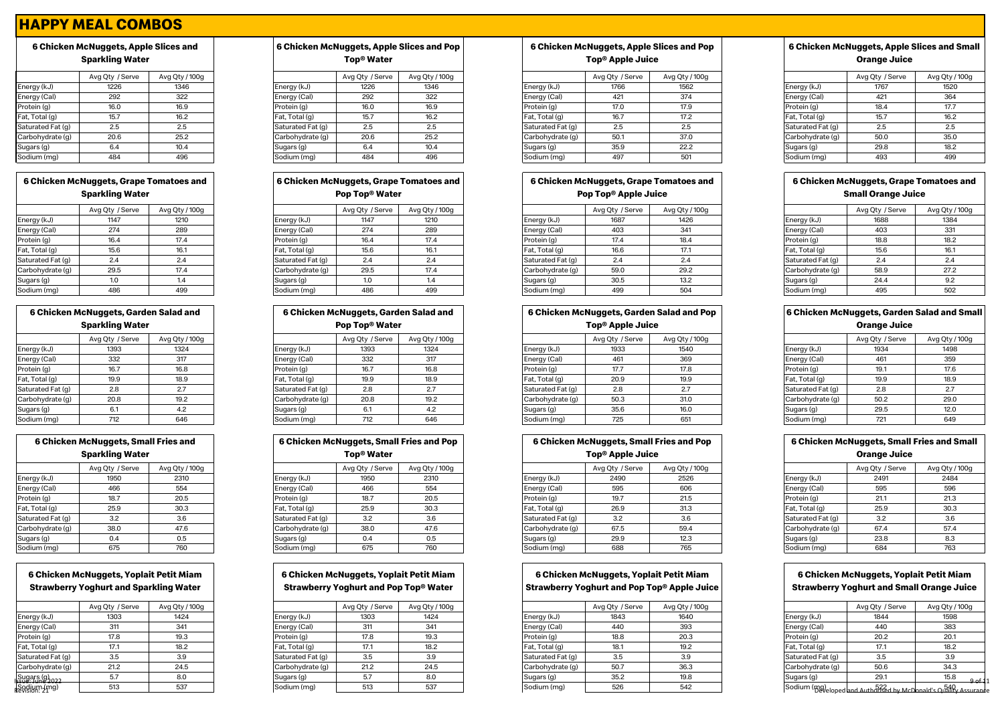# **6 Chicken McNuggets, Apple Slices and Sparkling Water**

|                   | Avg Qty / Serve | Avg Qty / 100g |
|-------------------|-----------------|----------------|
| Energy (kJ)       | 1226            | 1346           |
| Energy (Cal)      | 292             | 322            |
| Protein (g)       | 16.0            | 16.9           |
| Fat, Total (g)    | 15.7            | 16.2           |
| Saturated Fat (g) | 2.5             | 2.5            |
| Carbohydrate (g)  | 20.6            | 25.2           |
| Sugars (g)        | 6.4             | 10.4           |
| Sodium (mg)       | 484             | 496            |

# **6 Chicken McNuggets, Grape Tomatoes and Sparkling Water**

|                   | Avg Qty / Serve | Avg Qty / 100g |
|-------------------|-----------------|----------------|
| Energy (kJ)       | 1147            | 1210           |
| Energy (Cal)      | 274             | 289            |
| Protein (g)       | 16.4            | 17.4           |
| Fat, Total (g)    | 15.6            | 16.1           |
| Saturated Fat (g) | 2.4             | 2.4            |
| Carbohydrate (g)  | 29.5            | 17.4           |
| Sugars (g)        | 1.0             | 1.4            |
| Sodium (ma)       | 486             | 499            |

| 6 Chicken McNuggets, Garden Salad and<br><b>Sparkling Water</b> |                 |                |  |  |
|-----------------------------------------------------------------|-----------------|----------------|--|--|
|                                                                 | Avg Qty / Serve | Avg Qty / 100g |  |  |
| Energy (kJ)                                                     | 1393            | 1324           |  |  |
| Energy (Cal)                                                    | 332             | 317            |  |  |
| Protein (g)                                                     | 16.7            | 16.8           |  |  |
| Fat, Total (g)                                                  | 19.9            | 18.9           |  |  |
| Saturated Fat (g)                                               | 2.8             | 2.7            |  |  |
| Carbohydrate (q)                                                | 20.8            | 19.2           |  |  |
| Sugars (g)                                                      | 6.1             | 4.2            |  |  |
| Sodium (mg)                                                     | 712             | 646            |  |  |

| 6 Chicken McNuggets, Small Fries and<br><b>Sparkling Water</b> |                 |                |  |  |
|----------------------------------------------------------------|-----------------|----------------|--|--|
|                                                                | Avg Qty / Serve | Avg Qty / 100g |  |  |
| Energy (kJ)                                                    | 1950            | 2310           |  |  |
| Energy (Cal)                                                   | 466             | 554            |  |  |
| Protein (g)                                                    | 18.7            | 20.5           |  |  |
| Fat, Total (g)                                                 | 25.9            | 30.3           |  |  |
| Saturated Fat (g)                                              | 3.2             | 3.6            |  |  |
| Carbohydrate (q)                                               | 38.0            | 47.6           |  |  |
| Sugars (g)                                                     | 0.4             | 0.5            |  |  |
| Sodium (mg)                                                    | 675             | 760            |  |  |

# **6 Chicken McNuggets, Yoplait Petit Miam Strawberry Yoghurt and Sparkling Water**

|                   | Avg Qty / Serve | Avg Qty / 100g |
|-------------------|-----------------|----------------|
| Energy (kJ)       | 1303            | 1424           |
| Energy (Cal)      | 311             | 341            |
| Protein (g)       | 17.8            | 19.3           |
| Fat, Total (g)    | 17.1            | 18.2           |
| Saturated Fat (g) | 3.5             | 3.9            |
| Carbohydrate (q)  | 21.2            | 24.5           |
| Sugars (g         | 5.7             | 8.0            |
| ∩dium.(ma)        | 513             | 537            |
|                   |                 |                |

# **6 Chicken McNuggets, Apple Slices and Pop Top® Water**

|                   | Avg Qty / Serve | Avg Qty / 100g |
|-------------------|-----------------|----------------|
| Energy (kJ)       | 1226            | 1346           |
| Energy (Cal)      | 292             | 322            |
| Protein (g)       | 16.0            | 16.9           |
| Fat, Total (g)    | 15.7            | 16.2           |
| Saturated Fat (g) | 2.5             | 2.5            |
| Carbohydrate (g)  | 20.6            | 25.2           |
| Sugars (g)        | 6.4             | 10.4           |
| Sodium (mg)       | 484             | 496            |

#### **6 Chicken McNuggets, Grape Tomatoes and Pop Top® Water**

|                   | Avg Qty / Serve | Avg Qty / 100g |
|-------------------|-----------------|----------------|
| Energy (kJ)       | 1147            | 1210           |
| Energy (Cal)      | 274             | 289            |
| Protein (g)       | 16.4            | 17.4           |
| Fat, Total (g)    | 15.6            | 16.1           |
| Saturated Fat (g) | 2.4             | 2.4            |
| Carbohydrate (g)  | 29.5            | 17.4           |
| Sugars (g)        | 1.0             | 1.4            |
| Sodium (mg)       | 486             | 499            |

| 6 Chicken McNuggets, Garden Salad and |                 |                | 6 Chicken McNuggets, Garden Salad and |                            | 6 Chicken McNuggets, Garden Salad and Pop |                |                              | <b>6 Chicken McNuggets, Garden Salad and Sm</b> |                |  |                   |                     |                |
|---------------------------------------|-----------------|----------------|---------------------------------------|----------------------------|-------------------------------------------|----------------|------------------------------|-------------------------------------------------|----------------|--|-------------------|---------------------|----------------|
| <b>Sparkling Water</b>                |                 |                |                                       | Pop Top <sup>®</sup> Water |                                           |                | Top <sup>®</sup> Apple Juice |                                                 |                |  |                   | <b>Orange Juice</b> |                |
|                                       | Avg Qty / Serve | Avg Qty / 100g |                                       |                            | Avg Qty / Serve                           | Avg Qty / 100g |                              | Avg Qty / Serve                                 | Avg Qty / 100g |  |                   | Avg Qty / Serve     | Avg Qty / 100g |
| Energy (kJ)                           | 1393            | 1324           |                                       | Energy (kJ)                | 1393                                      | 1324           | Energy (kJ)                  | 1933                                            | 1540           |  | Energy (kJ)       | 1934                | 1498           |
| Energy (Cal)                          | 332             | 317            |                                       | Energy (Cal)               | 332                                       | 317            | Energy (Cal)                 | 461                                             | 369            |  | Energy (Cal)      | 461                 | 359            |
| Protein (g)                           | 16.7            | 16.8           |                                       | Protein (g)                | 16.7                                      | 16.8           | Protein (g)                  | 17.7                                            | 17.8           |  | Protein (g)       | 19.1                | 17.6           |
| Fat, Total (g)                        | 19.9            | 18.9           |                                       | Fat, Total (g)             | 19.9                                      | 18.9           | Fat, Total (g)               | 20.9                                            | 19.9           |  | Fat, Total (g)    | 19.9                | 18.9           |
| Saturated Fat (g)                     | 2.8             | 2.7            |                                       | Saturated Fat (g)          | 2.8                                       | 2.7            | Saturated Fat (g)            | 2.8                                             | 2.7            |  | Saturated Fat (g) | 2.8                 | 2.7            |
| Carbohydrate (g)                      | 20.8            | 19.2           |                                       | Carbohydrate (g)           | 20.8                                      | 19.2           | Carbohydrate (q)             | 50.3                                            | 31.0           |  | Carbohydrate (g)  | 50.2                | 29.0           |
| Sugars (g)                            | -6.1            | 4.2            |                                       | Sugars (g)                 | 6.1                                       | 4.2            | Sugars (g)                   | 35.6                                            | 16.0           |  | Sugars (g)        | 29.5                | 12.0           |
| Sodium (mg)                           | 712             | 646            |                                       | Sodium (mg)                | 712                                       | 646            | Sodium (mg)                  | 725                                             | 651            |  | Sodium (mg)       | 721                 | 649            |

| 6 Chicken McNuggets, Small Fries and Pop<br>Top <sup>®</sup> Water |                 |                |  |  |  |  |  |  |  |
|--------------------------------------------------------------------|-----------------|----------------|--|--|--|--|--|--|--|
|                                                                    | Avg Qty / Serve | Avg Qty / 100g |  |  |  |  |  |  |  |
| Energy (kJ)                                                        | 1950            | 2310           |  |  |  |  |  |  |  |
| Energy (Cal)                                                       | 466             | 554            |  |  |  |  |  |  |  |
| Protein (g)                                                        | 18.7            | 20.5           |  |  |  |  |  |  |  |
| Fat, Total (g)                                                     | 25.9            | 30.3           |  |  |  |  |  |  |  |
| Saturated Fat (g)                                                  | 3.2             | 3.6            |  |  |  |  |  |  |  |
| Carbohydrate (q)                                                   | 38.0            | 47.6           |  |  |  |  |  |  |  |
| Sugars (g)                                                         | 0.4             | 0.5            |  |  |  |  |  |  |  |
| Sodium (ma)                                                        | 675             | 760            |  |  |  |  |  |  |  |

#### **6 Chicken McNuggets, Yoplait Petit Miam Strawberry Yoghurt and Pop Top® Water**

|                   | Avg Qty / Serve | Avg Qty / 100g |  |  |
|-------------------|-----------------|----------------|--|--|
| Energy (kJ)       | 1303            | 1424           |  |  |
| Energy (Cal)      | 311             | 341            |  |  |
| Protein (g)       | 17.8            | 19.3           |  |  |
| Fat, Total (g)    | 17.1            | 18.2           |  |  |
| Saturated Fat (g) | 3.5             | 3.9            |  |  |
| Carbohydrate (g)  | 21.2            | 24.5           |  |  |
| Sugars (g)        | 5.7             | 8.0            |  |  |
| Sodium (mg)       | 513             | 537            |  |  |
|                   |                 |                |  |  |

# **6 Chicken McNuggets, Apple Slices and Pop Top® Apple Juice**

|                   | Avg Qty / Serve | Avg Qty / 100g |                   | Avg Qty / Serve | Avg Qty / 100g |                   | Avg Qty / Serve | Avg Qty / 100g |                   | Avg Qty / Serve | Avg Qty / 100g |
|-------------------|-----------------|----------------|-------------------|-----------------|----------------|-------------------|-----------------|----------------|-------------------|-----------------|----------------|
| Energy (kJ)       | 1226            | 1346           | Energy (kJ)       | 1226            | 1346           | Energy (kJ)       | 1766            | 1562           | Energy (kJ)       | 1767            | 1520           |
| Energy (Cal)      | 292             | 322            | Energy (Cal)      | 292             | 322            | Energy (Cal)      |                 | 374            | Energy (Cal)      | 421             | 364            |
| Protein (g)       | 16.0            | 16.9           | Protein (g)       | 16.0            | 16.9           | Protein (g)       | 17.0            | 17.9           | Protein (g)       | 18.4            | 17.7           |
| Fat, Total (g)    |                 | 16.2           | Fat, Total (g)    | 15.7            | 16.2           | Fat, Total (g)    | 16.7            | 17.2           | Fat, Total (g)    | 15.7            |                |
| Saturated Fat (g) |                 | 2.5            | Saturated Fat (q) | 2.5             | 2.5            | Saturated Fat (g) |                 | 2.5            | Saturated Fat (g) | $\Omega$<br>ت.ے |                |
| Carbohydrate (g)  | 20.6            | 25.2           | Carbohydrate (g)  | 20.6            | 25.2           | Carbohydrate (g)  | 50.             | 37.0           | Carbohydrate (g)  | 50.0            | 35.0           |
| Sugars (g)        |                 |                | Sugars (g)        | 6.4             | 10.4           | Sugars (g)        | 35.9            | 22.2           | Sugars (g)        | 29.8            | 18.2           |
| Sodium (mg)       | 484             | 496            | Sodium (mg)       | 484             | 496            | Sodium (mg)       | 497             | 501            | Sodium (mg)       | 493             | 499            |

#### **6 Chicken McNuggets, Grape Tomatoes and Pop Top® Apple Juice**

|                   | Avg Qty / Serve | Avg Qty / 100g |                   | Avg Qty / Serve | Avg Qty / 100g |                   | Avg Qty / Serve | Avg Qty / 100g |                   | Avg Qty / Serve | Avg Qty / 100g |
|-------------------|-----------------|----------------|-------------------|-----------------|----------------|-------------------|-----------------|----------------|-------------------|-----------------|----------------|
| Energy (kJ)       | 1147            | 1210           | Energy (kJ)       | 1147            | 1210           | Energy (kJ)       | 1687            | 1426           | Energy (kJ)       | 1688            | 1384           |
| Energy (Cal)      | 274             | 289            | Energy (Cal)      | 274             | 289            | Energy (Cal)      | 403             | 341            | Energy (Cal)      | 403             | 331            |
| Protein (g)       | 16.4            | 17.4           | Protein (g)       | 10.4            | 17.4           | Protein (g)       |                 | 18.4           | Protein (g)       | 18.8            | 18.2           |
| Fat, Total (g)    | 15.6            | 16.1           | Fat, Total (g)    | 15.6            | 16.1           | Fat, Total (g)    | 16.6            | 17.1           | Fat, Total (g)    | 15.6            | 16.1           |
| Saturated Fat (g) | 2.4             | 2.4            | Saturated Fat (g) | 2.4             | 2.4            | Saturated Fat (g) |                 | $\sim$         | Saturated Fat (g) | 2.4             |                |
| Carbohydrate (g)  | 29.5            | 17.4           | Carbohydrate (g)  | 29.5            | 17.4           | Carbohydrate (g)  | 59.0            | 29.2           | Carbohydrate (g)  | 58.9            | 27.2           |
| Sugars (g)        |                 |                | Sugars (g)        |                 |                | Sugars (g)        | 30.5            | 13.2           | Sugars (g)        | 24.4            |                |
| Sodium (mg)       | 486             | 499            | Sodium (mg)       | 486             | 499            | Sodium (mg        | 499             | 504            | Sodium (mg)       | 495             | 502            |

# **6 Chicken McNuggets, Garden Salad and Pop**

|  |  | Top® Apple Juice |
|--|--|------------------|
|--|--|------------------|

|                   | Avg Qty / Serve | Avg Qty / 100g |  |  |  |  |
|-------------------|-----------------|----------------|--|--|--|--|
| Energy (kJ)       | 1933            | 1540           |  |  |  |  |
| Energy (Cal)      | 461             | 369            |  |  |  |  |
| Protein (g)       | 17.7            | 17.8           |  |  |  |  |
| Fat, Total (g)    | 20.9            | 19.9           |  |  |  |  |
| Saturated Fat (g) | 2.8             | 2.7            |  |  |  |  |
| Carbohydrate (g)  | 50.3            | 31.0           |  |  |  |  |
| Sugars (g)        | 35.6            | 16.0           |  |  |  |  |
| Sodium (ma)       | 725             | 651            |  |  |  |  |

**6 Chicken McNuggets, Small Fries and Pop Top® Apple Juice**

| Avg Qty / 100g |
|----------------|
| 2484           |
| 596            |
| 21.3           |
| 30.3           |
| 3.6            |
| 57.4           |
| 8.3            |
| 763            |
|                |

### **6 Chicken McNuggets, Yoplait Petit Miam Strawberry Yoghurt and Pop Top® Apple Juice**

|                                                                        | Avg Qty / Serve | Avg Qty / 100g |                   | Avg Qty / Serve | Avg Qty / 100g |                   | Avg Qty / Serve | Avg Qty / 100g |                   | Avg Qty / Serve            | Avg Qty / 100g |
|------------------------------------------------------------------------|-----------------|----------------|-------------------|-----------------|----------------|-------------------|-----------------|----------------|-------------------|----------------------------|----------------|
| Energy (kJ)                                                            | 1303            | 1424           | Energy (kJ)       | 1303            | 1424           | Energy (kJ)       | 1843            | 1640           | Energy (kJ)       | 1844                       | 1598           |
| Energy (Cal)                                                           | 311             | 341            | Energy (Cal)      | 311             | 341            | Energy (Cal)      | 440             | 393            | Energy (Cal)      | 440                        | 383            |
| Protein (g)                                                            | 17.8            | 19.3           | Protein (g)       | 17.8            | 19.3           | Protein (g)       | 18.8            | 20.3           | Protein (g)       | 20.2                       | 20.1           |
| Fat, Total (g)                                                         | 17.1            | 18.2           | Fat, Total (g)    | 17.1            | 18.2           | Fat, Total (g)    | 18.1            | 19.2           | Fat, Total (g)    | 17.1                       | 18.2           |
| Saturated Fat (g)                                                      | 3.5             | 3.9            | Saturated Fat (q) | 3.5             | 3.9            | Saturated Fat (g) | 3.5             | 3.9            | Saturated Fat (g) | 3.5                        | 3.9            |
| Carbohydrate (g)                                                       | 21.2            | 24.5           | Carbohydrate (g)  | 21.2            | 24.5           | Carbohydrate (g)  | 50.7            | 36.3           | Carbohydrate (g)  | 50.6                       | 34.3           |
|                                                                        |                 | 8.0            | Sugars (g)        | 5.7             | 8.0            | Sugars (g)        | 35.2            | 19.8           | Sugars (g)        | 29.1                       | 15.8           |
| Sugars (g)<br><sup>Sug: June 2022</sup><br>Sodium (mg)<br>Revision: 21 | 513             | 537            | Sodium (mg)       | 513             | 537            | Sodium (mg)       | 526             | 542            |                   | Sodium (mg)<br>Sodium (mg) |                |

# **6 Chicken McNuggets, Apple Slices and Small Orange Juice**

|                  | Avg Qty / Serve | Avg Qty / 100g |
|------------------|-----------------|----------------|
| nergy (kJ)       | 1767            | 1520           |
| nergy (Cal)      | 421             | 364            |
| rotein (g)       | 18.4            | 17.7           |
| at, Total (g)    | 15.7            | 16.2           |
| aturated Fat (g) | 2.5             | 2.5            |
| arbohydrate (g)  | 50.0            | 35.0           |
| ugars (g)        | 29.8            | 18.2           |
| odium (mg)       | 493             | 499            |

# **6 Chicken McNuggets, Grape Tomatoes and Small Orange Juice**

|                   | Avg Qty / Serve | Avg Qty / 100g |
|-------------------|-----------------|----------------|
| Energy (kJ)       | 1688            | 1384           |
| Energy (Cal)      | 403             | 331            |
| Protein (g)       | 18.8            | 18.2           |
| Fat, Total (g)    | 15.6            | 16.1           |
| Saturated Fat (g) | 2.4             | 2.4            |
| Carbohydrate (g)  | 58.9            | 27.2           |
| Sugars (g)        | 24.4            | 9.2            |
| Sodium (mg)       | 495             | 502            |
|                   |                 |                |

#### **6 Chicken McNuggets, Garden Salad and Small Orange Juice**

| .                 |                 |                |  |
|-------------------|-----------------|----------------|--|
|                   | Avg Qty / Serve | Avg Qty / 100g |  |
| Energy (kJ)       | 1934            | 1498           |  |
| Energy (Cal)      | 461             | 359            |  |
| Protein (g)       | 19.1            | 17.6           |  |
| Fat, Total (g)    | 19.9            | 18.9           |  |
| Saturated Fat (g) | 2.8             | 2.7            |  |
| Carbohydrate (g)  | 50.2            | 29.0           |  |
| Sugars (g)        | 29.5            | 12.0           |  |
| Sodium (mg)       | 721             | 649            |  |

#### **6 Chicken McNuggets, Small Fries and Small Orange Juice**

| orango oaioo      |                 |                |  |
|-------------------|-----------------|----------------|--|
|                   | Avg Qty / Serve | Avg Qty / 100g |  |
| Energy (kJ)       | 2491            | 2484           |  |
| Energy (Cal)      | 595             | 596            |  |
| Protein (g)       | 21.1            | 21.3           |  |
| Fat, Total (g)    | 25.9            | 30.3           |  |
| Saturated Fat (g) | 3.2             | 3.6            |  |
| Carbohydrate (g)  | 67.4            | 57.4           |  |
| Sugars (g)        | 23.8            | 8.3            |  |
| Sodium (mg)       | 684             | 763            |  |

#### **6 Chicken McNuggets, Yoplait Petit Miam Strawberry Yoghurt and Small Orange Juice**

| ouawberry Toghart and Sinan Orange ouice |  |
|------------------------------------------|--|
|                                          |  |

|                    | Avg Qty / Serve | Avg Qty / 100g                                   |
|--------------------|-----------------|--------------------------------------------------|
| Energy (kJ)        | 1844            | 1598                                             |
| Energy (Cal)       | 440             | 383                                              |
| Protein (g)        | 20.2            | 20.1                                             |
| Fat, Total (g)     | 17.1            | 18.2                                             |
| Saturated Fat (g)  | 3.5             | 3.9                                              |
| Carbohydrate (g)   | 50.6            | 34.3                                             |
| Sugars (g)         | 29.1            | 15.8<br><u> Anf</u>                              |
| Sodium (mg) eloped |                 | and Authorised by McDonald's Outsility Assurance |

|       | Avg Qty / Serve | Avg Qty / 100g |
|-------|-----------------|----------------|
|       | 1393            | 1324           |
|       | 332             | 317            |
|       | 16.7            | 16.8           |
|       | 19.9            | 18.9           |
| t (g) | 2.8             | 2.7            |
| e (g) | 20.8            | 19.2           |
|       | 6.1             | 4.2            |
|       | 740             | 0.40           |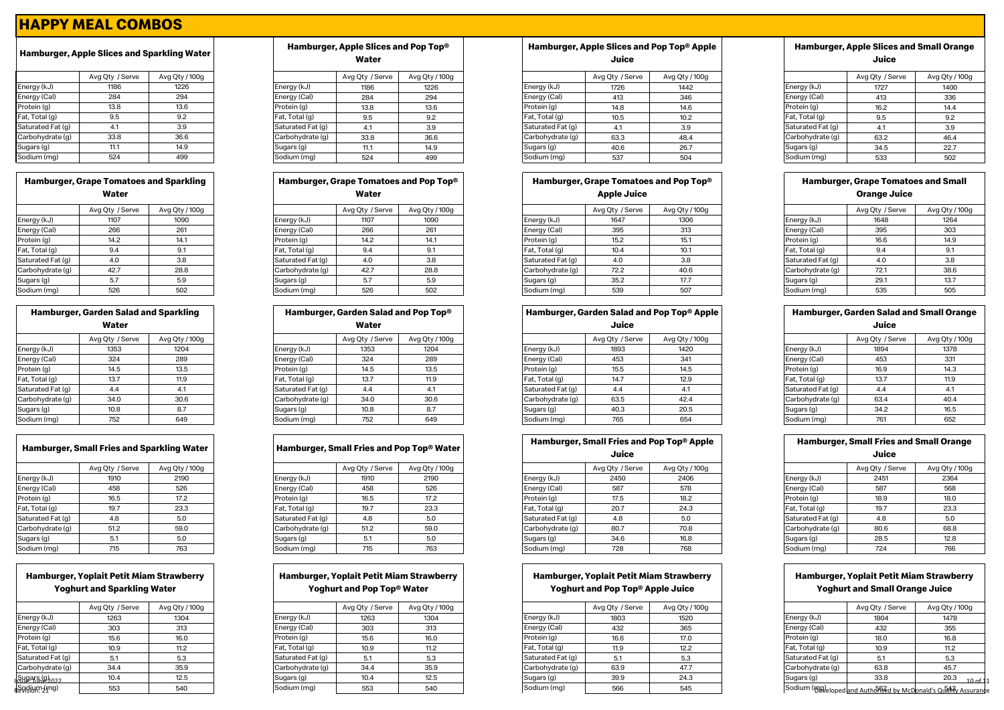|                   | Avg Qty / Serve | Avg Qty / 100g |
|-------------------|-----------------|----------------|
| Energy (kJ)       | 1186            | 1226           |
| Energy (Cal)      | 284             | 294            |
| Protein (g)       | 13.8            | 13.6           |
| Fat, Total (g)    | 9.5             | 9.2            |
| Saturated Fat (g) | 4.1             | 3.9            |
| Carbohydrate (g)  | 33.8            | 36.6           |
| Sugars (g)        | 11.1            | 14.9           |
| Sodium (ma)       | 524             | 499            |

| <b>Hamburger, Grape Tomatoes and Sparkling</b><br>Water |  |  |  |
|---------------------------------------------------------|--|--|--|
|                                                         |  |  |  |

|                   | Avg Qty / Serve | Avg Qty / 100g |
|-------------------|-----------------|----------------|
| Energy (kJ)       | 1107            | 1090           |
| Energy (Cal)      | 266             | 261            |
| Protein (g)       | 14.2            | 14.1           |
| Fat, Total (g)    | 9.4             | 9.1            |
| Saturated Fat (g) | 4.0             | 3.8            |
| Carbohydrate (q)  | 42.7            | 28.8           |
| Sugars (g)        | 5.7             | 5.9            |
| Sodium (mg)       | 526             | 502            |

| <b>Hamburger, Garden Salad and Sparkling</b> |      |      |  |  |
|----------------------------------------------|------|------|--|--|
| Water                                        |      |      |  |  |
| Avg Qty / Serve<br>Avg Qty / 100g            |      |      |  |  |
| Energy (kJ)                                  | 1353 | 1204 |  |  |
| Energy (Cal)                                 | 324  | 289  |  |  |
| Protein (g)                                  | 14.5 | 13.5 |  |  |
| Fat, Total (g)                               | 13.7 | 11.9 |  |  |
| Saturated Fat (g)                            | 4.4  | 4.1  |  |  |
| Carbohydrate (g)                             | 34.0 | 30.6 |  |  |
| Sugars (g)                                   | 10.8 | 8.7  |  |  |
| Sodium (mg)                                  | 752  | 649  |  |  |

|                   | Avg Qty / Serve | Avg Qty / 100g |
|-------------------|-----------------|----------------|
| Energy (kJ)       | 1910            | 2190           |
| Energy (Cal)      | 458             | 526            |
| Protein (g)       | 16.5            | 17.2           |
| Fat, Total (g)    | 19.7            | 23.3           |
| Saturated Fat (g) | 4.8             | 5.0            |
| Carbohydrate (q)  | 51.2            | 59.0           |
| Sugars (g)        | 5.1             | 5.0            |
| Sodium (ma)       | 715             | 763            |

# **Hamburger, Yoplait Petit Miam Strawberry Yoghurt and Sparkling Water**

|                           | Avg Qty / Serve | Avg Qty / 100g |
|---------------------------|-----------------|----------------|
| Energy (kJ)               | 1263            | 1304           |
| Energy (Cal)              | 303             | 313            |
| Protein (g)               | 15.6            | 16.0           |
| Fat, Total (g)            | 10.9            | 11.2           |
| Saturated Fat (g)         | 5.1             | 5.3            |
| Carbohydrate (q)          | 34.4            | 35.9           |
| Sugars (g) <sub>ဂ၁၁</sub> | 10.4            | 12.5           |
| Sodium (mg)               | 553             | 540            |
|                           |                 |                |

# **Hamburger, Apple Slices and Sparkling Water Hamburger, Apple Slices and Pop Top® Water**

|                   | Avg Qty / Serve | Avg Qty / 100g |
|-------------------|-----------------|----------------|
| Energy (kJ)       | 1186            | 1226           |
| Energy (Cal)      | 284             | 294            |
| Protein (g)       | 13.8            | 13.6           |
| Fat, Total (g)    | 9.5             | 9.2            |
| Saturated Fat (g) | 4.1             | 3.9            |
| Carbohydrate (g)  | 33.8            | 36.6           |
| Sugars (g)        | 11.1            | 14.9           |
| Sodium (mg)       | 524             | 499            |

# Avg Qty / Serve Avg Qty / 100g **Hamburger, Grape Tomatoes and Pop Top® Water**

| Energy (kJ)       | 1107 | 1090 |  |  |  |  |
|-------------------|------|------|--|--|--|--|
| Energy (Cal)      | 266  | 261  |  |  |  |  |
| Protein (g)       | 14.2 | 14.1 |  |  |  |  |
| Fat, Total (g)    | 9.4  | 9.1  |  |  |  |  |
| Saturated Fat (g) | 4.0  | 3.8  |  |  |  |  |
| Carbohydrate (g)  | 42.7 | 28.8 |  |  |  |  |
| Sugars (g)        | 5.7  | 5.9  |  |  |  |  |
| Sodium (mg)       | 526  | 502  |  |  |  |  |

|                   | <b>Hamburger, Garden Salad and Sparkling</b> |                |                   | Hamburger, Garden Salad and Pop Top <sup>®</sup> |                |                   |                 | <b>Hamburger, Garden Salad and Pop Top® Apple</b> |                   | <b>Hamburger, Garden Salad and Small Or</b> |         |
|-------------------|----------------------------------------------|----------------|-------------------|--------------------------------------------------|----------------|-------------------|-----------------|---------------------------------------------------|-------------------|---------------------------------------------|---------|
|                   | Water                                        |                |                   | Water                                            |                |                   | Juice           |                                                   |                   | Juice                                       |         |
|                   | Avg Qty / Serve                              | Avg Qty / 100g |                   | Avg Qty / Serve                                  | Avg Qty / 100g |                   | Avg Qty / Serve | Avg Qty / 100g                                    |                   | Avg Qty / Serve                             | Avg Qty |
| Energy (kJ)       | 1353                                         | 1204           | Energy (kJ)       | 1353                                             | 1204           | Energy (kJ)       | 1893            | 1420                                              | Energy (kJ)       | 1894                                        | 1378    |
| Energy (Cal)      | 324                                          | 289            | Energy (Cal)      | 324                                              | 289            | Energy (Cal)      | 453             | 341                                               | Energy (Cal)      | 453                                         | 331     |
| Protein (g)       | 14.5                                         | 13.5           | Protein (g)       | 14.5                                             | 13.5           | Protein (g)       | 15.5            | 14.5                                              | Protein (g)       | 16.9                                        | 14.3    |
| Fat, Total (g)    | 13.7                                         | 11.9           | Fat, Total (g)    | 13.7                                             | 11.9           | Fat, Total (g)    | 14.7            | 12.9                                              | Fat, Total (g)    | 13.7                                        | 11.9    |
| Saturated Fat (g) | 4.4                                          | 4.1            | Saturated Fat (g) | 4.4                                              | 4.1            | Saturated Fat (g) | 4.4             |                                                   | Saturated Fat (g) | 4.4                                         |         |
| Carbohydrate (g)  | 34.0                                         | 30.6           | Carbohydrate (g)  | 34.0                                             | 30.6           | Carbohydrate (g)  | 63.5            | 42.4                                              | Carbohydrate (g)  | 63.4                                        | 40.4    |
| Sugars (g)        | 10.8                                         | 8.7            | Sugars (g)        | 10.8                                             | 8.7            | Sugars (g)        | 40.3            | 20.5                                              | Sugars (g)        | 34.2                                        | 16.5    |
| Sodium (mg)       | 752                                          | 649            | Sodium (mg)       | 752                                              | 649            | Sodium (mg)       | 765             | 654                                               | Sodium (mg)       | 761                                         | 652     |

|                   | Avg Qty / Serve | Avg Qty / 100g |  |  |  |  |
|-------------------|-----------------|----------------|--|--|--|--|
| Energy (kJ)       | 1910            | 2190           |  |  |  |  |
| Energy (Cal)      | 458             | 526            |  |  |  |  |
| Protein (g)       | 16.5            | 17.2           |  |  |  |  |
| Fat, Total (g)    | 19.7            | 23.3           |  |  |  |  |
| Saturated Fat (g) | 4.8             | 5.0            |  |  |  |  |
| Carbohydrate (q)  | 51.2            | 59.0           |  |  |  |  |
| Sugars (g)        | 5.1             | 5.0            |  |  |  |  |
| Sodium (mg)       | 715             | 763            |  |  |  |  |

# **Hamburger, Yoplait Petit Miam Strawberry Yoghurt and Pop Top® Water**

|                   | Avg Qty / Serve | Avg Qty / 100g |
|-------------------|-----------------|----------------|
| Energy (kJ)       | 1263            | 1304           |
| Energy (Cal)      | 303             | 313            |
| Protein (g)       | 15.6            | 16.0           |
| Fat, Total (g)    | 10.9            | 11.2           |
| Saturated Fat (g) | 5.1             | 5.3            |
| Carbohydrate (g)  | 34.4            | 35.9           |
| Sugars (g)        | 10.4            | 12.5           |
| Sodium (mg)       | 553             | 540            |

#### **Hamburger, Apple Slices and Pop Top® Apple Juice**

|                   | Avg Qty / Serve | Avg Qty / 100g |                   | Avg Qty / Serve | Avg Qty / 100g |                   | Avg Qty / Serve | Avg Qty / 100g |                   | Avg Qty / Serve | Avg Qty / 100g |
|-------------------|-----------------|----------------|-------------------|-----------------|----------------|-------------------|-----------------|----------------|-------------------|-----------------|----------------|
| Energy (kJ)       | 1186            | 1226           | Energy (kJ)       | 1186            | 1226           | Energy (kJ)       | 1726            | 1442           | Energy (kJ)       | 1727            | 1400           |
| Energy (Cal)      | 284             | 294            | Energy (Cal)      | 284             | 294            | Energy (Cal)      |                 | 346            | Energy (Cal)      | 413             | 336            |
| Protein (g)       | 13.8            | 13.6           | Protein (g)       | 13.8            | 13.6           | Protein (g)       | 14.8            | 14.6           | Protein (g)       | 16.2            | 14.4           |
| Fat, Total (g)    | 9.5             | 9.2            | Fat, Total (g)    | 9.5             | 9.2            | Fat, Total (g)    |                 | 10.2           | Fat, Total (g)    | 9.5             |                |
| Saturated Fat (g) | 4.1             | 3.9            | Saturated Fat (g) |                 | 3.9            | Saturated Fat (g) |                 | 3.9            | Saturated Fat (g) |                 |                |
| Carbohydrate (g)  | 33.8            | 36.6           | Carbohydrate (g)  | 33.8            | 36.6           | Carbohydrate (g)  | 63.3            | 48.4           | Carbohydrate (g)  | 63.2            | 46.4           |
| Sugars (g)        | 11.1            | 14.9           | Sugars (g)        | 11.1            | 14.9           | Sugars (g)        | 40.6            | 26.7           | Sugars (g)        | 34.5            | 22.7           |
| Sodium (mg)       | 524             | 499            | Sodium (mg)       | 524             | 499            | Sodium (mg)       | 537             | 504            | Sodium (mg)       | 533             | 502            |

#### **Hamburger, Grape Tomatoes and Pop Top® Apple Juice**

|                   | Avg Qty / Serve | Avg Qty / 100g |                   | Avg Qty / Serve | Avg Qty / 100g |                   | Avg Qty / Serve | Avg Qty / 100g |                   | Avg Qty / Serve | Avg Qty/ |
|-------------------|-----------------|----------------|-------------------|-----------------|----------------|-------------------|-----------------|----------------|-------------------|-----------------|----------|
| Energy (kJ)       | 1107            | 1090           | Energy (kJ)       | 1107            | 1090           | Energy (kJ)       | 1647            | 1306           | Energy (kJ)       | 1648            | 1264     |
| Energy (Cal)      | 266             | 261            | Energy (Cal)      | 266             | 261            | Energy (Cal)      | 395             | 313            | Energy (Cal)      | 395             | 303      |
| Protein (g)       | 14.2            | 14.7           | Protein (g)       | 14.2            | 14.1           | Protein (g)       | 15.2            |                | Protein (g)       | 16.6            | 14.9     |
| Fat, Total (g)    |                 |                | Fat, Total (g)    | 9.4             | $^{\circ}$ 1   | Fat, Total (g)    | 10.4            | 10.1           | Fat, Total (g)    | 9.4             |          |
| Saturated Fat (g) | 4.0             | 3.8            | Saturated Fat (g) | 4.0             | 3.8            | Saturated Fat (g) | 4.0             |                | Saturated Fat (g) | 4.0             | 3.8      |
| Carbohydrate (g)  | 42.7            | 28.8           | Carbohydrate (g)  | 42.7            | 28.8           | Carbohydrate (g)  | 72.2            | 40.6           | Carbohydrate (g)  | 72.7            | 38.6     |
| Sugars (g)        |                 | 5.9            | Sugars (g)        |                 | 5.9            | Sugars (g)        | 35.2            | 17.7           | Sugars (g)        | 29.7            | 13.7     |
| Sodium (mg)       | 526             | 502            | Sodium (mg)       | 526             | 502            | Sodium (mg)       | 539             | 507            | Sodium (mg)       | 535             | 505      |

# **Hamburger, Garden Salad and Pop Top® Apple**

|                   | Water           |                |                   | Water<br>Juice  |                |                   | Juice           |                |                   |                 |                |
|-------------------|-----------------|----------------|-------------------|-----------------|----------------|-------------------|-----------------|----------------|-------------------|-----------------|----------------|
|                   | Avg Qty / Serve | Avg Qty / 100g |                   | Avg Qty / Serve | Avg Qty / 100g |                   | Avg Qty / Serve | Avg Qty / 100g |                   | Avg Qty / Serve | Avg Qty / 100g |
| Energy (kJ)       | 1353            | 1204           | Energy (kJ)       | 1353            | 1204           | Energy (kJ)       | 1893            | 1420           | Energy (kJ)       | 1894            | 1378           |
| Energy (Cal)      | 324             | 289            | Energy (Cal)      | 324             | 289            | Energy (Cal)      | 453             | 341            | Energy (Cal)      | 453             | 331            |
| Protein (g)       | 14.5            | 13.5           | Protein (g)       | 14.5            | 13.5           | Protein (g)       | 15.5            | 14.5           | Protein (g)       | 16.9            | 14.3           |
| Fat, Total (g)    | 13.7            | 11.9           | Fat, Total (g)    | 13.7            | 11.9           | Fat, Total (g)    | 14.7            | 12.9           | Fat, Total (g)    | 13.7            | 11.9           |
| Saturated Fat (g) | 4.4             | 4.1            | Saturated Fat (q) | 4.4             | 4.1            | Saturated Fat (g) | 4.4             |                | Saturated Fat (g) | 4.4             |                |
| Carbohydrate (g)  | 34.0            | 30.6           | Carbohydrate (q)  | 34.0            | 30.6           | Carbohydrate (g)  | 63.5            | 42.4           | Carbohydrate (g)  | 63.4            | 40.4           |
| Sugars (g)        | 10.8            | 8.7            | Sugars (g)        | 10.8            | 8.7            | Sugars (g)        | 40.3            | 20.5           | Sugars (g)        | 34.2            | 16.5           |
| Sodium (mg)       | 752             | 649            | Sodium (mg)       | 752             | 649            | Sodium (mg)       | 765             | 654            | Sodium (mg)       |                 | 652            |

#### **Hamburger, Small Fries and Sparkling Water Hamburger, Small Fries and Pop Top® Water Hamburger, Small Fries and Pop Top® Apple Juice**

|                   |                 |                |                   |                 |                | <b>ANICE</b> |                   |                 | ANING          |                   |                 |                |
|-------------------|-----------------|----------------|-------------------|-----------------|----------------|--------------|-------------------|-----------------|----------------|-------------------|-----------------|----------------|
|                   | Avg Qty / Serve | Avg Qty / 100g |                   | Avg Qty / Serve | Avg Qty / 100g |              |                   | Avg Qty / Serve | Avg Qty / 100g |                   | Avg Qty / Serve | Avg Qty / 100g |
| Energy (kJ)       | 1910            | 2190           | Energy (kJ)       | 1910            | 2190           |              | Energy (kJ)       | 2450            | 2406           | Energy (kJ)       | 2451            | 2364           |
| Energy (Cal)      | 458             | 526            | Energy (Cal)      | 458             | 526            |              | Energy (Cal)      | 587             | 578            | Energy (Cal)      | 587             | 568            |
| Protein (g)       | 16.5            | 17.2           | Protein (g)       | 16.5            | 17.2           |              | Protein (g)       | 17.5            | 18.2           | Protein (g)       | 18.9            | 18.0           |
| Fat, Total (g)    | 19.7            | 23.3           | Fat, Total (g)    | 19.7            | 23.3           |              | Fat, Total (g)    | 20.7            | 24.3           | Fat, Total (g)    | 19.7            | 23.3           |
| Saturated Fat (g) | 4.8             | 5.0            | Saturated Fat (g) | 4.8             | 5.0            |              | Saturated Fat (g) | 4.8             | 5.0            | Saturated Fat (g) | 4.8             | 5.0            |
| Carbohydrate (g)  | 51.2            | 59.0           | Carbohydrate (g)  | 51.2            | 59.0           |              | Carbohydrate (g)  | 80.7            | 70.8           | Carbohydrate (g)  | 80.6            | 68.8           |
| Sugars (g)        |                 | 5.0            | Sugars (g)        |                 | 5.0            |              | Sugars (g)        | 34.6            | 16.8           | Sugars (g)        | 28.5            | 12.8           |
| Sodium (mg)       | 715             | 763            | Sodium (mg)       | 715             | 763            |              | Sodium (mg)       | 728             | 768            | Sodium (mg)       | 724             | 766            |

# **Hamburger, Yoplait Petit Miam Strawberry Yoghurt and Pop Top® Apple Juice**

|                           | Avg Qty / Serve | Avg Qty / 100g |                   | Avg Qty / Serve | Avg Qty / 100g |                   | Avg Qty / Serve | Avg Qty / 100g |                   | Avg Qty / Serve                                            | Avg Qty / 100g |
|---------------------------|-----------------|----------------|-------------------|-----------------|----------------|-------------------|-----------------|----------------|-------------------|------------------------------------------------------------|----------------|
| Energy (kJ)               | 1263            | 1304           | Energy (kJ)       | 1263            | 1304           | Energy (kJ)       | 1803            | 1520           | Energy (kJ)       | 1804                                                       | 1478           |
| Energy (Cal)              | 303             | 313            | Energy (Cal)      | 303             | 313            | Energy (Cal)      | 432             | 365            | Energy (Cal)      | 432                                                        | 355            |
| Protein (g)               | 15.6            | 16.0           | Protein (g)       | 15.6            | 16.0           | Protein (g)       | 16.6            | 17.0           | Protein (g)       | 18.0                                                       | 16.8           |
| Fat, Total (g)            | 10.9            | 11.2           | Fat, Total (g)    | 10.9            | 11.2           | Fat, Total (g)    | 11.9            | 12.2           | Fat, Total (g)    | 10.9                                                       | 11.2           |
| Saturated Fat (g)         |                 | 5.3            | Saturated Fat (g) | 5.1             | 5.3            | Saturated Fat (g) |                 | 5.3            | Saturated Fat (g) |                                                            |                |
| Carbohydrate (g)          | 34.4            | 35.9           | Carbohydrate (g)  | 34.4            | 35.9           | Carbohydrate (g)  | 63.9            | 47.7           | Carbohydrate (g)  | 63.8                                                       | 45.7           |
| Sugars (g) <sub>022</sub> | 10.4            | 12.5           | Sugars (g)        | 10.4            | 12.5           | Sugars (g)        | 39.9            | 24.3           | Sugars (g)        | 33.8                                                       | 20.3           |
| Sodium (mg)               | 553             | 540            | Sodium (mg)       | 553             | 540            | Sodium (mg)       | 566             | 545            |                   | Sodium (BQ)eloped and Authorised by McDonald's Ourant Assu |                |

#### **Hamburger, Apple Slices and Small Orange Juice**

|                   | Avg Qty / Serve | Avg Qty / 100g |
|-------------------|-----------------|----------------|
| Energy (kJ)       | 1727            | 1400           |
| Energy (Cal)      | 413             | 336            |
| Protein (g)       | 16.2            | 14.4           |
| at, Total (g)     | 9.5             | 9.2            |
| Saturated Fat (g) | 4.1             | 3.9            |
| Carbohydrate (g)  | 63.2            | 46.4           |
| Sugars (g)        | 34.5            | 22.7           |
| Sodium (mg)       | 533             | 502            |

# **Hamburger, Grape Tomatoes and Small Orange Juice**

| Avg Qty / Serve | Avg Qty / 100g |
|-----------------|----------------|
| 1648            | 1264           |
| 395             | 303            |
| 16.6            | 14.9           |
| 9.4             | 9.1            |
| 4.0             | 3.8            |
| 72.1            | 38.6           |
| 29.1            | 13.7           |
| 535             | 505            |
|                 |                |

#### **Hamburger, Garden Salad and Small Orange Juice**

|                   | Avg Qty / Serve | Avg Qty / 100g |
|-------------------|-----------------|----------------|
| Energy (kJ)       | 1894            | 1378           |
| Energy (Cal)      | 453             | 331            |
| Protein (g)       | 16.9            | 14.3           |
| Fat, Total (g)    | 13.7            | 11.9           |
| Saturated Fat (g) | 4.4             | 4.1            |
| Carbohydrate (g)  | 63.4            | 40.4           |
| Sugars (g)        | 34.2            | 16.5           |
| Sodium (mg)       | 761             | 652            |

# **Hamburger, Small Fries and Small Orange Juice**

|                   | Avg Qty / Serve | Avg Qty / 100g |
|-------------------|-----------------|----------------|
| Energy (kJ)       | 2451            | 2364           |
| Energy (Cal)      | 587             | 568            |
| Protein (g)       | 18.9            | 18.0           |
| Fat, Total (g)    | 19.7            | 23.3           |
| Saturated Fat (g) | 4.8             | 5.0            |
| Carbohydrate (g)  | 80.6            | 68.8           |
| Sugars (g)        | 28.5            | 12.8           |
| Sodium (mg)       | 724             | 766            |

# **Hamburger, Yoplait Petit Miam Strawberry Yoghurt and Small Orange Juice**

| Avg Qty / Serve | Avg Qty / 100g                                                  |
|-----------------|-----------------------------------------------------------------|
| 1804            | 1478                                                            |
| 432             | 355                                                             |
| 18.0            | 16.8                                                            |
| 10.9            | 11.2                                                            |
| 5.1             | 5.3                                                             |
| 63.8            | 45.7                                                            |
| 33.8            | 20.3<br>10 of 11                                                |
|                 | Sodium (Beveloped and Authorical by McDonald's Outhly Assurance |
|                 |                                                                 |